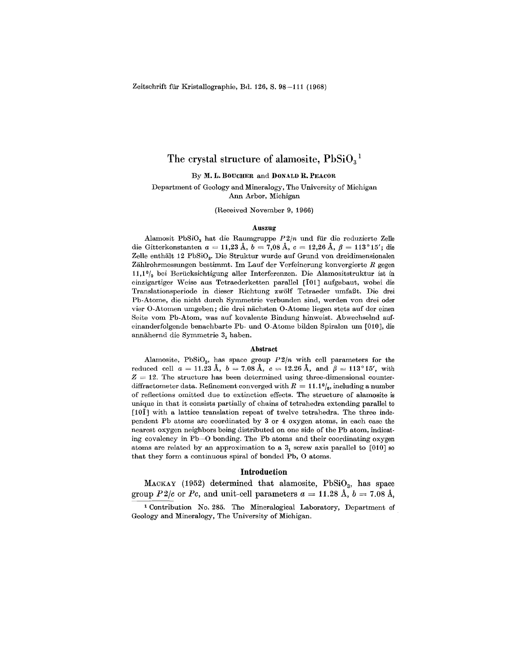# The crystal structure of alamosite,  $PbSiO<sub>3</sub><sup>1</sup>$

By M. L. BOUCHER and DONALD R. PEACOR

Department of Geology and Mineralogy, The University of Michigan Ann Arbor, Michigan

(Received November 9, 1966)

## Auszug

Alamosit PbSiO<sub>3</sub> hat die Raumgruppe  $P2/n$  und für die reduzierte Zelle die Gitterkonstanten *a* = 11,23 Å, *b* = 7,08 Å, *c* = 12,26 Å,  $\beta$  = 113°15'; die Zelle enthält 12 PbSiO<sub>3</sub>. Die Struktur wurde auf Grund von dreidimensionalen Zahlrohrmessungen bestimmt. 1m Lauf der Verfeinerung konvergierte *R* gegen  $11,10<sub>0</sub>$  bei Berücksichtigung aller Interferenzen. Die Alamositstruktur ist in einzigartiger Weise aus Tetraederketten parallel [101] aufgebaut, wobei die Translationsperiode in dieser Richtung zwölf Tetraeder umfaßt. Die drei Pb-Atome, die nicht durch Symmetrie verbunden sind, werden von drei oder vier O-Atomen umgeben; die drei nachsten O-Atome liegen stets auf der einen Seite vom Pb-Atom, was auf kovalente Bindung hinweist. Abwechselnd aufeinanderfolgende benachbarte Pb- und O-Atome bilden Spiralen um [010], die annähernd die Symmetrie 3, haben.

### Abstract

Alamosite, PbSiO<sub>3</sub>, has space group  $P2/n$  with cell parameters for the reduced cell  $a = 11.23 \text{ Å}, b = 7.08 \text{ Å}, c = 12.26 \text{ Å}, \text{ and } \beta = 113^{\circ}15', \text{ with}$  $Z = 12$ . The structure has been determined using three-dimensional counterdiffractometer data. Refinement converged with  $R = 11.1\%$ , including a number of reflections omitted due to extinction effects. The structure of alamosite is unique in that it consists partially of chains of tetrahedra extending parallel to [101] with a lattice translation repeat of twelve tetrahedra. The three independent Pb atoms are coordinated by 3 or 4 oxygen atoms, in each case the nearest oxygen neighbors being distributed on one side of the Pb atom, indicating covalency in Pb-O bonding. The Pb atoms and their coordinating oxygen atoms are related by an approximation to a  $3<sub>1</sub>$  screw axis parallel to [010] so that they form a continuous spiral of bonded  $Pb$ ,  $O$  atom

### Introduction

MACKAY (1952) determined that alamosite,  $PbSiO<sub>3</sub>$ , has space group *P*2/c or *Pc*, and unit-cell parameters  $a = 11.28 \text{ Å}, b = 7.08 \text{ Å}$ .

I Contribution No. 285. The Mineralogical Laboratory, Department of Geology and Mineralogy, The University of Michigan.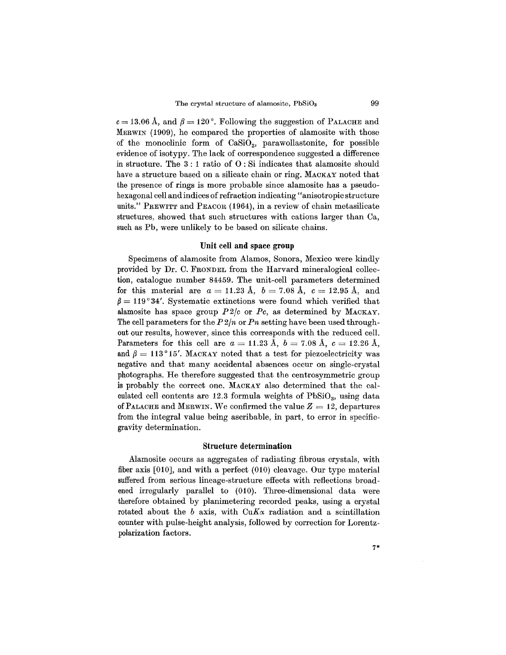$c = 13.06$  Å, and  $\beta = 120$ °. Following the suggestion of PALACHE and MERWIN (1909), he compared the properties of alamosite with those of the monoclinic form of  $CaSiO<sub>3</sub>$ , parawollastonite, for possible evidence of isotypy. The lack of correspondence suggested a difference in structure. The 3 : 1 ratio of 0 : Si indicates that alamosite should have a structure based on a silicate chain or ring. MACKAY noted that the presence of rings is more probable since alamosite has a pseudohexagonal cell and indices of refraction indicating "anisotropic structure units." PREWITT and PEACOR (1964), in a review of chain metasilicate structures, showed that such structures with cations larger than Ca, such as Pb, were unlikely to be based on silicate chains.

## **Unit cell and** space **group**

Specimens of alamosite from Alamos, Sonora, Mexico were kindly provided by Dr. C. FRONDEL from the Harvard mineralogical collection, catalogue number 84459. The unit-cell parameters determined  $\int$  for this material are  $a = 11.23 \text{ Å}, b = 7.08 \text{ Å}, c = 12.95 \text{ Å}, \text{ and}$  $\beta = 119^{\circ}34'$ . Systematic extinctions were found which verified that alamosite has space group *P2/c* or *Pc,* as determined by MACKAY. The cell parameters for the *P 2/n* or *Pn* setting have been used throughout our results, however, since this corresponds with the reduced cell. Parameters for this cell are  $a = 11.23 \text{ Å}, b = 7.08 \text{ Å}, c = 12.26 \text{ Å},$ and  $\beta=113^{\circ}15'$ . MACKAY noted that a test for piezoelectricity was negative and that many accidental absences occur on single-crystal photographs. He therefore suggested that the centrosymmetric group is probably the correct one. MACKAY also determined that the calculated cell contents are  $12.3$  formula weights of  $PbSiO<sub>3</sub>$ , using data of PALACHE and MERWIN. We confirmed the value  $Z = 12$ , departures from the integral value being ascribable, in part, to error in specificgravity determination.

## **Structure determination**

Alamosite occurs as aggregates of radiating fibrous crystals, with fiber axis [010], and with a perfect (010) cleavage. Our type material suffered from serious lineage-structure effects with reflections broadened irregularly parallel to (010). Three-dimensional data were therefore obtained by planimetering recorded peaks, using a crystal rotated about the *b* axis, with  $CuKx$  radiation and a scintillation counter with pulse-height analysis, followed by correction for Lorentzpolarization factors.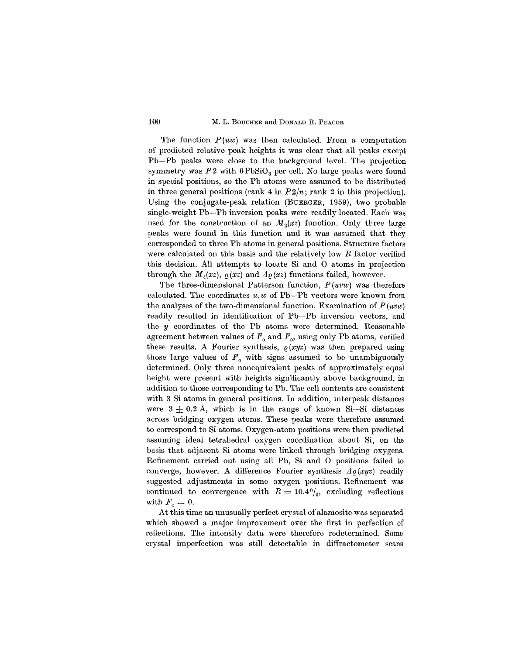The function *P(uw)* was then calculated. From a computation of predicted relative peak heights it was clear that all peaks except Pb- Pb peaks were close to the background level. The projection symmetry was  $P2$  with  $6PbSiO<sub>3</sub>$  per cell. No large peaks were found in special positions, so the Pb atoms were assumed to be distributed in three general positions (rank  $4$  in  $P2/n$ ; rank  $2$  in this projection). Using the conjugate-peak relation (BUERGER, 1959), two probable single-weight Pb-Pb inversion peaks were readily located. Each was used for the construction of an  $M_2(xz)$  function. Only three large peaks were found in this function and it was assumed that they corresponded to three Pb atoms in general positions. Structure factors were calculated on this basis and the relatively low *R* factor verified this decision. All attempts to locate Si and 0 atoms in projection through the  $M_4(xz)$ ,  $\rho(xz)$  and  $\Lambda \rho(xz)$  functions failed, however.

The three-dimensional Patterson function, *P(uvw)* was therefore calculated. The coordinates *u,w* of Pb-Pb vectors were known from the analyses of the two-dimensional function. Examination of *P (uvw)* readily resulted in identification of Pb-Pb inversion vectors, and the *y* coordinates of the Pb atoms were determined. Reasonable agreement between values of  $F_o$  and  $F_c$ , using only Pb atoms, verified these results. A Fourier synthesis,  $\rho(xyz)$  was then prepared using those large values of  $F<sub>o</sub>$  with signs assumed to be unambiguously determined. Only three nonequivalent peaks of approximately equal height were present with heights significantly above background, in addition to those corresponding to Pb. The cell contents are consistent with 3 Si atoms in general positions. In addition, interpeak distances were  $3\pm 0.2$  Å, which is in the range of known Si-Si distances across bridging oxygen atoms. These peaks were therefore assumed to correspond to Si atoms. Oxygen-atom positions were then predicted assuming ideal tetrahedral oxygen coordination about Si, on the basis that adjacent Si atoms were linked through bridging oxygens. Refinement carried out using all Pb, Si and 0 positions failed to converge, however. A difference Fourier synthesis  $A_{\ell}(xyz)$  readily suggested adjustments in some oxygen positions. Refinement was continued to convergence with  $R = 10.4\frac{0}{0}$ , excluding reflections with  $F_o = 0$ .

At this time an unusually perfect crystal of alamosite was separated which showed a major improvement over the first in perfection of reflections. The intensity data were therefore redetermined. Some crystal imperfection was still detectable in diffractometer scans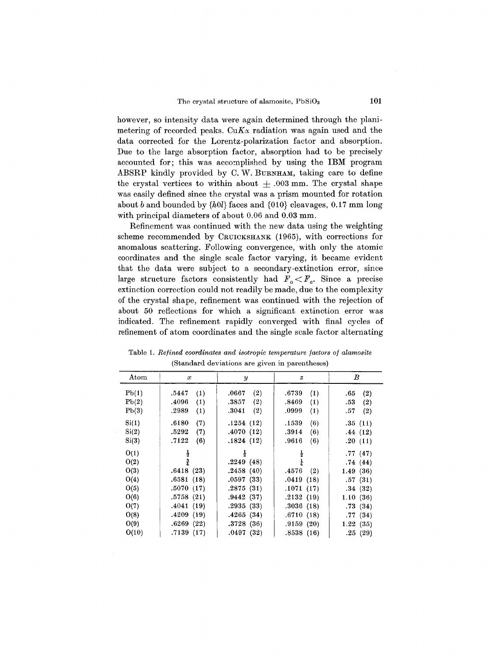however, so intensity data were again determined through the planimetering of recorded peaks.  $CuK\alpha$  radiation was again used and the data corrected for the Lorentz-polarization factor and absorption. Due to the large absorption factor, absorption had to be precisely accounted for; this was accomplished by using the IBM program ABSRP kindly provided by C. W. BURNHAM, taking care to define the crystal vertices to within about  $\pm$  .003 mm. The crystal shape was easily defined since the crystal was a prism mounted for rotation about *b* and bounded by *{hOl}* faces and {010} cleavages, 0.17 mm long with principal diameters of about 0.06 and 0.03 mm.

Refinement was continued with the new data using the weighting scheme recommended by CRUICKSHANK (1965), with corrections for anomalous scattering. Following convergence, with only the atomic coordinates and the single scale factor varying, it became evident that the data were subject to a secondary-extinction error, since large structure factors consistently had  $F_o \leq F_c$ . Since a precise extinction correction could not readily be made, due to the complexity of the crystal shape, refinement was continued with the rejection of about 50 reflections for which a significant extinction error was indicated. The refinement rapidly converged with final cycles of refinement of atom coordinates and the single scale factor alternating

| Atom  | $\boldsymbol{x}$ | $\boldsymbol{y}$ | $\boldsymbol{z}$ | B          |
|-------|------------------|------------------|------------------|------------|
| Pb(1) | .5447<br>(1)     | (2)<br>.0667     | .6739<br>(1)     | (2)<br>.65 |
| Pb(2) | .4096<br>(1)     | .3857<br>(2)     | .8469<br>(1)     | .53<br>(2) |
| Pb(3) | .2989<br>(1)     | .3041<br>(2)     | .0999<br>(1)     | .57<br>(2) |
| Si(1) | .6180<br>(7)     | .1254(12)        | .1539<br>(6)     | .35(11)    |
| Si(2) | .5292<br>(7)     | .4070(12)        | .3914<br>(6)     | .44(12)    |
| Si(3) | .7122<br>(6)     | .1824(12)        | .9616<br>(6)     | .20(11)    |
| O(1)  | $\frac{1}{2}$    | $\frac{1}{2}$    | $\frac{1}{2}$    | .77(47)    |
| O(2)  | 훋                | .2249(48)        | $\frac{1}{4}$    | .74(44)    |
| O(3)  | .6418(23)        | .2458(40)        | .4576<br>(2)     | 1.49(36)   |
| O(4)  | .6581(18)        | .0597(33)        | .0419(18)        | .57(31)    |
| O(5)  | .5070(17)        | .2875(31)        | .1071(17)        | .34(32)    |
| O(6)  | .5758(21)        | .9442(37)        | .2132(19)        | 1.10(36)   |
| O(7)  | .4041(19)        | .2935(33)        | .3036(18)        | .73(34)    |
| O(8)  | .4209(19)        | .4265(34)        | .6710(18)        | .77(34)    |
| O(9)  | .6269(22)        | .3728(36)        | .9159(20)        | 1.22(35)   |
| O(10) | .7139(17)        | .0497(32)        | .8538(16)        | .25(29)    |

Table 1. *Refined coordinates and isotropic temperature factors of alamosite* (Standard deviations are given in parentheses)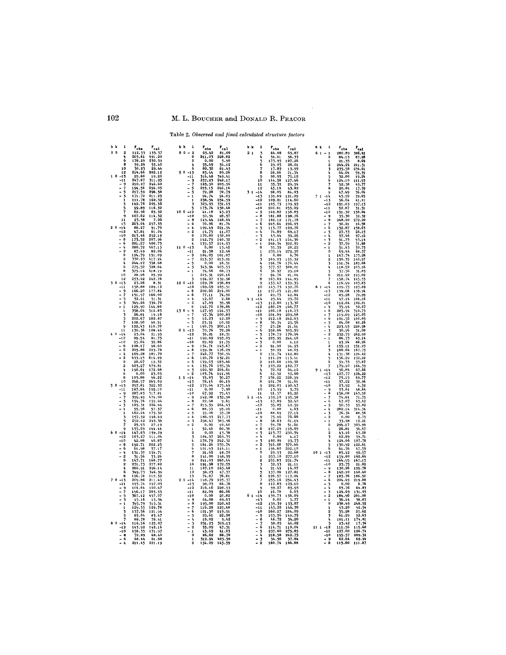Table 2. Observed and final calculated structure factors

| h k<br>$\mathbf{1}$                     | $r_{obs}$                                               | $r_{cal}$                       | h k<br>1                                | $F_{obs}$                               | $P_{cal}$            | h k            | 1                             | $\mathbf{r}_{\text{obs}}$      | $\frac{\mathrm{F}_{\mathrm{cal}}}{65.87}$ |  | h k l                                    | $F_{obs}$                                      | $r_{\rm cal}$    |
|-----------------------------------------|---------------------------------------------------------|---------------------------------|-----------------------------------------|-----------------------------------------|----------------------|----------------|-------------------------------|--------------------------------|-------------------------------------------|--|------------------------------------------|------------------------------------------------|------------------|
| 0 <sub>0</sub><br>$\overline{2}$        | 112.53                                                  | 133.57                          | $80 - 2$                                | $63.42$<br>211.03                       | 81,00                | 2 <sub>1</sub> | $\overline{3}$                | 64.08                          |                                           |  | $61 - 1$                                 | 280.89                                         | 306.41           |
| å,                                      | 265.61                                                  | 491.20                          | $\pmb{0}$                               |                                         | 228.82               |                | i,                            | 34.01                          | 38.33                                     |  | 0                                        | 84.13                                          | 87.28            |
| 6<br>я                                  | 178.29                                                  | 230.59                          | $\overline{\mathbf{2}}$                 | 0.00                                    | 5.90                 |                |                               | 173.95                         | 187.26                                    |  |                                          | 21.35                                          | 8.69             |
| 10                                      | 59.29<br>30.23                                          | 55.40<br>29.44                  | 4<br>6                                  | 55.69                                   | 54.12<br>81.45       |                | 6                             | 29.05                          | 28.01<br>13.99                            |  |                                          | 244.24                                         | 241.31           |
| 12                                      | 214.66                                                  | 202.12                          | $90 - 13$                               | 80.32<br>83.44                          | 89.26                |                | R                             | 17.89<br>28,66                 | 21.54                                     |  |                                          | 235.58<br>64.64                                | 234.61<br>59.59  |
| 1 <sub>0</sub><br>$-17$                 | 29.60                                                   |                                 | $-11$                                   | 316.48                                  | 349.41               |                | q                             | 90.95                          |                                           |  | 5                                        | 32.80                                          | 19.24            |
| -11                                     | 247.87                                                  | 19.20<br>311.95                 | $-9$                                    | 237.23                                  | 248.17               |                | 10                            |                                | $75.12$<br>127.46                         |  | 6                                        | 124.10                                         | 111.93           |
| 9<br>-                                  | 210,27                                                  | 246,60                          | - 7                                     | 185.50                                  | 205.56               |                | 11                            | 144.58<br>35.35                | 29.54                                     |  | 7                                        | 52.38                                          | 49.77            |
| 7                                       | 194.56                                                  | 256.03                          | - 5                                     | 223.15                                  | 246.16               |                | 12                            | 45.19                          | 43.82                                     |  | Ŕ                                        | 20.84                                          | 17.39            |
| 5                                       | 217.59                                                  | 296.38                          | - 3                                     | 72.28                                   | 78.79                |                | $31 - 14$                     | 98.05                          | 84.03                                     |  | ٩                                        | 47.49                                          | 36.04            |
|                                         | 171.72<br>111.78                                        | 211.23<br>160.32                |                                         | 94.74<br>238.54                         | 94.03<br>254.59      |                | $-13$<br>$-12$                | 139.89<br>109.21               | 121.29<br>114.60                          |  | $71 - 14$<br>$-13$                       | 43.52<br>56.64                                 | 52.85<br>41.11   |
|                                         | 142.76                                                  | 205.36                          |                                         | 323.95                                  | 331.15               |                | $-11$                         | 105.75                         | 109.93                                    |  | $-12$                                    | 191.63                                         | 197.13           |
|                                         | 99.89                                                   | 116.32                          |                                         | 173.74                                  | 158.48               |                | $-10$                         | 200.81                         | 233.09                                    |  | $-11$                                    | 52.87                                          | 51.51            |
|                                         | 62.96                                                   | 65.32                           | $100-12$                                | 41.18                                   | 43.23                |                | - 9                           | 149.82                         | 158.85                                    |  | -10                                      | 151.32                                         | 156.04           |
|                                         | 107.62                                                  | 114.32                          | $-10$                                   | 50.34                                   | 28.97                |                | - 8                           | 181.88                         | 198.76                                    |  | $\frac{1}{2}$                            | 35.30                                          | 32.32            |
| 11                                      | 23.58<br>263.04                                         | 7.06                            | $-8$                                    | 143.44                                  | 146.64               |                | - 7                           | 162.12 171.76                  |                                           |  |                                          | 248.40                                         | 272.20           |
| 13<br>2 <sub>0</sub><br>$-14$           | 88.27                                                   | $257.33$<br>91.70<br>61.04      | $-6$                                    | 70.96                                   | 81.74                |                | - 6                           | 245.64                         | 296.93                                    |  | $\begin{array}{cc} -7 \\ -6 \end{array}$ | 30.21                                          | 16.58            |
| $-12$                                   |                                                         |                                 | $\frac{1}{2}$                           | $199.49\n14.75\n170.80\n142.79\n155.57$ | 221.54               |                | - 5<br>- 4                    | $115.77$<br>$74.89$<br>$43.64$ | 109.76<br>69.17                           |  |                                          | 152.87                                         | 158.63<br>26.15  |
| $-10$                                   | $47.81$<br>213.46<br>173.52                             | 252.18<br>207.96                | $\mathbf 0$                             |                                         | $11.07$<br>158.80    |                | $-3$                          |                                | 39.26                                     |  | $-5$<br>$-5$<br>$-3$<br>$-2$             | $27.33$<br>97.46<br>91.73                      | 97.12            |
| $-8$                                    |                                                         |                                 | $\overline{2}$                          |                                         | 140.32               |                | $-2$                          |                                | 164.36                                    |  |                                          |                                                | 93.14            |
| 6                                       | 281.27                                                  | 400.73                          |                                         |                                         | 114.93               |                | $-1$                          | 141.13<br>248.34               | 302.95                                    |  |                                          | 37.59                                          | 31.68            |
|                                         | 280.72                                                  |                                 | $110 - 13$                              | 0.00                                    | 13.42                |                | $\mathbf 0$                   | 35.39                          | 28.22                                     |  | - 1                                      | 51.43                                          | 50.73            |
| $-2$<br>$\mathbf 0$                     | 87.49                                                   | 82.06                           | $-11$                                   | 21.58                                   | 12.46                |                | $\overline{2}$                | 235.14                         | 272.50                                    |  | $\pmb{0}$                                | 69.44                                          | 68.37            |
| $\mathfrak{p}$                          | 124.79<br>330.93                                        | 151.09<br>417.24                | $\frac{1}{2}$                           | 104.05<br>213.57                        | 101.07<br>213.21     |                |                               | 0.00<br>169.23                 | 6.76<br>155.32                            |  | $\mathbf 1$                              | 167.74<br>150.35                               | 173.28<br>140.97 |
|                                         | 244.12                                                  | 338.68                          | $-5$                                    | 0,00                                    | 16.51                |                |                               | 194.76                         | 176.44                                    |  |                                          | 191.34                                         | 185.68           |
| 6                                       | 275.52                                                  | 328.64                          | $-3$                                    |                                         | 403.53               |                |                               | 377.57                         | 388.01                                    |  |                                          | 118.52                                         | 103.16           |
| 8                                       | 375.14                                                  | 418.19                          | $-1$                                    | $343.94$<br>$74.66$                     | 68.73                |                | 6                             | 36.97                          | 25.18                                     |  | 5                                        | 37.56                                          | 31.83            |
| 10                                      | 28,26                                                   | 25.99                           | $\mathbf{1}$                            |                                         | 226.16               |                |                               | 94.76<br>163.69                | 81.04                                     |  | 6                                        | 211.42                                         | 195.02           |
| 12                                      | $253.42$<br>$23.26$                                     | $242.78$<br>8.31                |                                         | $223.31$<br>$124.97$<br>$169.76$        | 132.96               |                | 8                             |                                | 144.85                                    |  | 7                                        | 158.74                                         | 145.33           |
| 50<br>$-13$                             | 158.88                                                  |                                 | $120 - 12$<br>$-10$                     | 169.69                                  | 196.89               |                | $\alpha$<br>10                |                                |                                           |  | 8                                        | 116.99                                         | 103.83           |
| $-11$<br>- 9                            | 166.20                                                  | $189.12$<br>$177.84$            | $-8$                                    | 200,66                                  | $165.51$<br>$214.00$ |                | 11                            | 153.47<br>143.73<br>137.25     | 139.35<br>132.76<br>121.80                |  | $81 - 14$<br>$-13$                       | $\frac{129.75}{139.08}$                        | 123.09<br>139.94 |
| ż                                       | 151.97                                                  | 160,00                          | - 6                                     | 77.11                                   | 74.90                |                | $\bf{12}$                     | 49.75                          | 42.84                                     |  | $-12$                                    | 85.28                                          | 79.99            |
| 5                                       | 52.41                                                   | 51.31                           |                                         | 12.67                                   | 2.68                 |                | $41 - 14$                     | 25.44                          | 25.72                                     |  | $-11$                                    | 97.14                                          | 104.16           |
| 3                                       | 349.66                                                  | 536.70                          | $-2$                                    | 47.89                                   | 39.96                |                | $-13$                         | 112,00                         | 113.30                                    |  | $-10$                                    | 112.64                                         | 102.01           |
|                                         | 129.90                                                  | 144.80                          | $\mathbf 0$                             | 142.70                                  | 139.86               |                | $-12$                         | 180.29                         | 168.77                                    |  | - 9                                      | 35.94                                          | 30.67            |
|                                         | 358.04                                                  | 512.83                          | $130 - 9 - 7$                           | 127.95                                  | 144.53               |                | $-11$                         | 106.18                         | 118.03                                    |  | $-8$                                     | 285.94                                         | 310.73           |
|                                         | 26.81                                                   | 19.18                           |                                         | 97.34                                   | 100.89               |                | $-10$                         | 201.09                         | 209.68                                    |  | - 7                                      | 119.89                                         | 125.05           |
|                                         | 202.67<br>108.90                                        | 182.87                          | - 5<br>- 3                              | 12.23                                   | 12.20<br>10.92       |                | - 9<br>$-8$                   | 212.18<br>30.34                | 242.63<br>25.56                           |  | - 6<br>- 5                               | 101.52<br>84.08                                | 100.09<br>80.26  |
| q                                       |                                                         | $90.51$<br>110.70               | $-1$                                    |                                         | 200.15               |                |                               | 23.26                          | 21.61                                     |  | - 4                                      | 223.93                                         | 228,98           |
| 11                                      | 122.43<br>130.36<br>23.04                               | 108,46                          | $0 1 -13 -12$                           | $23.51$<br>190.75<br>70.76<br>36.21     | 72.28                |                | $\frac{1}{2}$                 | 258.86<br>178.79               | 305.59<br>178.94                          |  | $\frac{1}{2}$                            | 30.96                                          | 31.00            |
| 40<br>$-14$                             |                                                         | $\frac{21.93}{81.75}$           |                                         |                                         | 18.31                |                | $-5$                          |                                |                                           |  |                                          | 232.75<br>86.73                                | 262.90           |
| $-12$                                   | 89.54                                                   |                                 | $-11$                                   | 192.89                                  | 195.05               |                | - 4                           | 225.95                         | 244.16                                    |  | $-1$                                     |                                                | 65.14            |
| $-10$                                   | 25.64                                                   | 32.86                           | $-10$                                   | 29.89                                   | 11.79                |                | $\frac{1}{2}$                 | 0.00                           | 4.12                                      |  | 1                                        | 93.24                                          | 88.26            |
| - 8<br>- 6                              | 108.17<br>205.86                                        | 96.60<br>223.78                 | $-9$<br>- 8                             | 134.71<br>159.91                        | 143.67<br>176.29     |                | $-1$                          | 91.92<br>50.99                 | 94.93<br>48.65                            |  |                                          | 155.11<br>186.64                               | 151.25<br>167.75 |
| - 4                                     | 169.28                                                  | 181.70                          | - 7                                     | 246.77                                  | 330.54               |                | 0                             | 131.74                         | 142.80                                    |  |                                          | 131.38                                         | 124.42           |
| - 2                                     | 433.15                                                  | 614.99                          | - 6                                     | 120.76                                  | 132.24               |                |                               | 114.29                         | 113.41                                    |  |                                          | 156.29                                         | 152.22           |
| $\theta$                                | 20.67                                                   | 12.32                           | $-5$                                    | 159.63                                  | 183.46               |                |                               | 116.60                         | 109.58                                    |  | 6                                        | 59.33                                          | 53.87            |
| 2                                       | 403.27                                                  | 479.81                          | $-4$                                    | 135.76                                  | 155.54               |                |                               | 193.22 182.77                  |                                           |  |                                          | 179.10                                         | 164.39           |
|                                         | $190.61$<br>0.00<br>103.88                              | $\frac{172,68}{23.03}$<br>96.22 | $\frac{3}{2}$                           | 160.50                                  | 204,61               |                |                               | 72,02                          | 64.10                                     |  | $91 - 14$                                | 56.84                                          | 67.66            |
| 6<br><b>a</b>                           |                                                         |                                 |                                         |                                         | 111.94               |                | 6                             | $42.52$<br>$256.22$            | 35.68<br>228.99                           |  | $-13$                                    | 127.77                                         | 124.22           |
| 10                                      | 268.57                                                  |                                 | $1 1 - 14$<br>$-13$                     | $103.74$<br>33.83<br>78.16              | 66.19                |                | 8                             |                                | 91.61                                     |  | $-12$<br>$-11$                           | 75.15                                          | 69.77<br>30.96   |
| 50<br>$-13$                             | 297.81                                                  | 265.09<br>322.32                | $-12$                                   |                                         |                      |                | $\mathbf Q$                   | $\frac{101.78}{202.05}$        | 190.47                                    |  | $-10$                                    | $\frac{37.22}{23.92}$<br>$\frac{23.92}{53.61}$ | 6.52             |
| $-11$                                   | 187.64                                                  | 192.10                          | $-11$                                   | $175.64$<br>0.00                        | 175.49<br>7.90       |                | 10                            | 13.99                          | 3.79                                      |  | $-9$                                     |                                                | 48.64            |
| 9                                       | 287.83                                                  | 317.81                          | $-10$                                   | 67.92                                   | 75.43                |                | 11                            | 91.37                          | 85.22                                     |  | $-8$                                     | 158.08                                         | 163.50           |
| ż                                       | 359.49                                                  | 474.00                          | - 9                                     | 142.08                                  | 152.90               |                | $51 - 14$                     | 199.10                         | 195.58                                    |  | $-76$<br>$-6$<br>$-5$<br>$-1$            | 74.81                                          | 71.75            |
|                                         | 154.76                                                  | 155.66                          | - 8                                     | 22.68<br>213.59                         | 9.61                 |                | $-13$                         | 47.89                          | 32.42                                     |  |                                          | 67.07                                          | 63.42            |
| $\overline{\mathbf{5}}$<br>$\mathbf{1}$ | 185.31                                                  | 206.64                          | $-7$<br>$-6$                            | 88.53                                   | 264.43               |                | $-12$<br>-11                  | 35.05<br>0.00                  | 42.59<br>4.63                             |  |                                          | 50.33<br>282.14                                | 55.02<br>514.34  |
|                                         | $55.56$<br>162.24                                       | $57.37$<br>175.32               | $-5$                                    | 55.06                                   | $95.29$<br>55.78     |                | $-10$                         | 88.69                          |                                           |  |                                          | 76.34                                          | 88.56            |
|                                         |                                                         | 146.49                          | $-4$                                    | 186.93                                  | 217.73               |                | $\frac{1}{2}$ $\frac{9}{8}$   | 75.46                          | $77.14$<br>76.66                          |  | $\frac{1}{2}$                            | 0.00                                           | 2.75             |
| 5                                       |                                                         | 245.36                          | $\frac{1}{2}$ $\frac{1}{2}$             | $258.47$<br>0.00                        | 383.96               |                |                               | 58.63                          | 61.14                                     |  | $-1$                                     | 33.98                                          | 12.21            |
|                                         |                                                         | 27.19                           |                                         |                                         | 10.40                |                | $-7$<br>- 6                   | 59.78<br>197.29                | 51.61                                     |  | $\overline{\mathbf{0}}$                  | $294.17$<br>$26.81$                            | 303.99           |
| 60<br>$-14$                             | $157.52$<br>$252.42$<br>$25.93$<br>$155.09$<br>$147.63$ | 144.44<br>159.29                | $\mathbf{1}$<br>$\overline{\mathbf{2}}$ | 52.46<br>0.00                           | 60.38<br>13.38       |                | - 5                           | 215.77                         | 193.09<br>230.54                          |  | 1                                        | 43.16                                          | 34.47<br>43.28   |
| $-12$                                   | 103.27                                                  | 111.04                          | $\overline{\mathbf{z}}$                 | 184.97                                  | 265.35               |                |                               | 0.00                           | 4.17                                      |  | $\overline{\mathbf{3}}$                  | 62.89                                          | 59.71            |
| $-10$                                   | 42.88                                                   | 40.87                           |                                         | 178.79                                  | 242.32               |                | $-3$                          | 100.09                         | 95.73                                     |  |                                          | 124.66                                         | 107.78           |
| 8                                       | 192.71                                                  | 202.23                          | 5                                       | 181.26                                  | 235.74               |                | $-2$                          | 316.08                         | 370.66                                    |  |                                          | 130.92                                         | 122.61           |
| - 6                                     | 61.98                                                   | 57.17                           | 6                                       | 101.63                                  | 114.11               |                |                               | 194.60                         | 202.10                                    |  | 6                                        | 61.56                                          | 47.59            |
|                                         | 131.30                                                  | 154.71                          | $\mathbf{a}$                            | 21.62                                   | 18.70                |                | $\mathbf 0$                   | 29.53                          | 22.68                                     |  | $101 - 13$                               | 85.12                                          | 92.57            |
| $-2$<br>$\Omega$                        | 31.56<br>147.71                                         | 33.26<br>168.77                 | $\mathbf{Q}$                            | 141.00                                  | 148.95               |                | $\mathbf{2}$                  | 253.18                         | 277.10                                    |  | $-12$<br>$-11$                           | 159.80                                         | 162.64           |
| $\mathbf{Q}$                            | 271.73                                                  | 277.82                          | 10                                      | 241.03<br>191.98                        | 260,44<br>172.55     |                | 3                             | 255.83<br>32.53                | 251.74<br>21.11                           |  | $-10$                                    | 164.95                                         | 167.13<br>21,02  |
|                                         | 286.91                                                  | 296.14                          | 11                                      |                                         |                      |                |                               |                                | 16.07                                     |  | - 9                                      | 23.75<br>130.26                                | 129.78           |
| 6                                       | 349.73<br>126.78                                        | 346.39                          | 12                                      | $187.10$<br>58.23                       | 165.48               |                |                               | $21.49$<br>137.28              | 127.81                                    |  | - 8                                      | 142.10                                         | 140.40           |
| 8                                       |                                                         | 112.32                          | 13                                      | 74.87                                   | 76.81                |                | Ġ                             | 126.57                         | 112.04                                    |  | $-7$                                     | 183.76                                         | 186.50           |
| 70<br>$-13$                             | 209.86                                                  | 211.45                          | $21 - 14$                               | 148.79                                  | 125.37               |                | $\overline{\phantom{a}}$<br>8 | 255.16                         | 254.43                                    |  |                                          | 204.49                                         | 219.00           |
| $-11$<br>9                              | 193.74<br>104.64                                        | 197.03<br>100.47                | $-13$<br>$-12$                          | 98.03<br>216.16                         | 84.76<br>220.53      |                | 9                             | 112.63<br>99.27                | 103.10<br>85.93                           |  | $-5$<br>- 4                              | 0.00<br>65.76                                  | 6.76<br>64.83    |
|                                         | 196.17                                                  | 203.53                          | $-11$                                   | 82.09                                   | 86,06                |                | 10                            | 16.70                          | 6.63                                      |  |                                          | 124.69                                         | 131.05           |
|                                         | 367.12                                                  | 457.07                          | $-10$                                   | 0.00                                    | 20.82                |                | $61 -14$                      | 139.73                         | 138.09                                    |  | $-2$                                     | 184.96                                         | 201.08           |
| 3                                       | 15.16                                                   | 15.34                           | - 9                                     | 64.88                                   | 69.63                |                | $-13$                         | 0.00                           | 5.77                                      |  | $-1$                                     | 56.14                                          | 38.83            |
| $\mathbf{1}$                            | 395.79                                                  | 515.51                          | - 8                                     | 195.00                                  | 220.42               |                | $-12$                         | 159.39                         | 153.07                                    |  | $\mathbf 0$                              | 238.49                                         | 248.52           |
| 1                                       | 129.55                                                  | 129.78                          | $\frac{1}{2}$                           | 116.29                                  | 125.40               |                | $-11$                         | 145.22                         | 146.78                                    |  | $\mathbf{1}$                             | 93.20                                          | 92.54            |
|                                         | 137.56<br>85.04                                         | 121.94<br>83.47                 | $-5$                                    | $\frac{121.30}{25.61}$                  | 119.91<br>22.90      |                | $-10$<br>$-9$                 | 260.27                         | 284.09                                    |  | $\mathbf{2}$<br>3                        | $\frac{1}{61}$ , 28<br>61.29                   | 25.62<br>52.63   |
|                                         | 88.78                                                   | 78.41                           | - 4                                     | 18.82                                   | 9.42                 |                | $-8$                          | 153.56<br>46.72                | $149.79$<br>$34.20$                       |  | À                                        | 181.11                                         | 174.01           |
| $80 - 14$                               | 116.56                                                  | 123.07                          | $-3$                                    | 231.23                                  | 309.13               |                | $-7$                          | 50.05                          | 46.02                                     |  |                                          | 23.42                                          | 17.36            |
| $-12$                                   | 143.92                                                  | 142.16                          | $-2$                                    | $55.09$<br>43.69                        | 47.31                |                | - 6                           | 114.71                         | 110.04                                    |  | $11 1 - 12$                              | 111.56                                         | 115.60           |
| -10                                     | 158.33                                                  | 171.97                          |                                         |                                         | 41.03                |                | - 5                           | 237.00                         | 275.85                                    |  | $-11$                                    | 127.00                                         | 126.74           |
|                                         | 72.09                                                   | 68.40                           | $\theta$                                | 86.62                                   | 88.70                |                |                               | 218.58                         | 242.75                                    |  | $-10$                                    | 195.57                                         | 209.32           |
| - 6                                     | 68.44<br>211.45                                         | 61.68<br>221.19                 |                                         | 312.94<br>154.29                        | 403.50<br>143.59     |                | $-2$                          | 34.56<br>180.74                | 37.84<br>186.88                           |  | $\frac{1}{2}$ $\frac{9}{8}$              | 62.64<br>115.60                                | 69.94<br>111.87  |
|                                         |                                                         |                                 |                                         |                                         |                      |                |                               |                                |                                           |  |                                          |                                                |                  |

102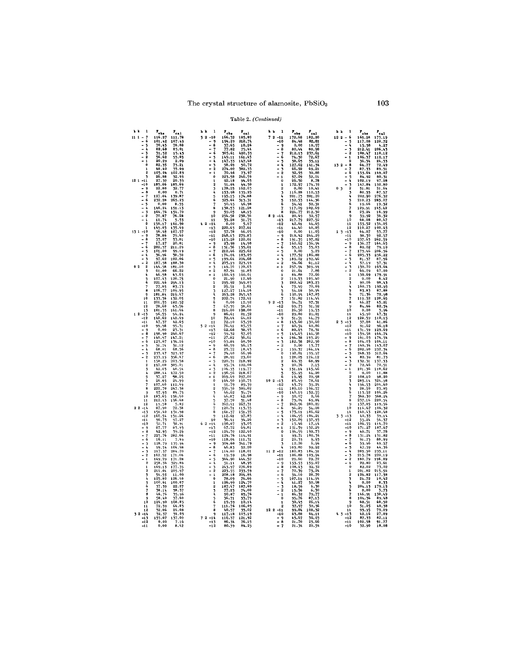## Table 2. (Continued)

| h k<br>$\mathbf{1}$                        |                        |                          | $\mathbf{1}$<br>h k      |                             |                                                  | h k | $\mathbf{1}$                   |                                 |                      | h k            |                                                 |                                           |                        |
|--------------------------------------------|------------------------|--------------------------|--------------------------|-----------------------------|--------------------------------------------------|-----|--------------------------------|---------------------------------|----------------------|----------------|-------------------------------------------------|-------------------------------------------|------------------------|
|                                            | $r_{\rm obs}$          | $r_{\rm cal}$            |                          | $\mathbf{r}_{\text{obs}}$   | $r_{cal}$                                        |     | $72 - 11$                      | $\mathbf{r}_{\mathrm{obs}}$     | $P_{cal}$            |                |                                                 | $\mathbf{r}_{\text{obs}}$                 | $r_{c,1}$              |
| $\overline{\mathbf{r}}$<br>$111 -$<br>$-6$ | 116.27<br>101.42       | 111.78<br>107.49         | $32 - 10$<br>$-9$        | 166.32<br>194.29            | 185.89<br>218.74                                 |     | $-10$                          | 172.68<br>84.48                 | 182,20<br>82,81      | $122 - 6$      | $-5$                                            | 165.28<br>117.08                          | 173.19<br>120.72       |
| ä,<br>5                                    |                        | 78.08                    | $-8$                     | 37.65                       | 18.26                                            |     | - 9                            | 0,00                            | 18.97                |                | - 4                                             | 15.58                                     | 4.27                   |
| ٠<br>b.                                    | 70.45<br>82.68         | 83.01                    | $\frac{1}{2}$            | 77.82                       |                                                  |     | $-8$                           | 80.44                           | 80.98                |                | $\frac{3}{2}$                                   | 212.41                                    | 206.43                 |
| $\overline{a}$<br>Ъ                        | 31.52                  |                          |                          | 305.61                      | $75.44$<br>420.33                                |     | $\frac{1}{2}$                  | 212.13                          | 237.61               |                |                                                 | 108.47                                    | 110,12                 |
| $\overline{a}$<br>$\mathbf{2}$             | 56.62<br>20.29         | $15.13$<br>55.85<br>2.09 | $-5$                     | 149.11                      | 161.45                                           |     |                                | 74.30<br>38.65                  | 72.67                |                | $-1$                                            |                                           | 112.17                 |
| -1<br>$\theta$                             |                        |                          | A,<br>- 3                | $147.33$<br>58.69           | 147.48<br>50.72                                  |     | - 5                            |                                 | 35.11                |                | $\ddot{\mathbf{0}}$                             | $106.37$<br>$36.54$<br>$64.77$<br>$87.33$ | 24.53                  |
| 1                                          | 82.35<br>48.40         | 73.21<br>35.69           | $\overline{2}$           | 274.00                      | 382.33                                           |     | $\frac{1}{2}$                  | 127.62<br>66.92                 | 141.54<br>69.21      | $132 - 8$      | 7                                               |                                           | 72.49<br>89.51         |
|                                            | 105.04                 | 102.83                   | $\mathbf{1}$             | 70.46                       | 73.97                                            |     | - 2                            | 32.95                           | 30.88                |                | - 6                                             | 153.64                                    | 149.07                 |
| 3                                          | 26,88                  | 32.93                    |                          | 223.58                      | 246.59                                           |     | $\mathbf{1}$                   | 57.09                           | 52.01                |                | 5                                               | 84.92                                     | 80.31                  |
| 12.1                                       | 27.30                  | 20.53                    |                          | 92.18                       | 94.65                                            |     | $\mathbf 0$                    | 26.50                           | 8,78                 |                |                                                 | 102.19                                    | 97.08                  |
| $-10$                                      | 185.06                 | 185.69                   |                          | 51.04                       | 44.50                                            |     |                                | 172.97                          | 174.39               |                |                                                 | 147.84                                    | 150.80                 |
| - 9<br>- 8                                 | 22,80                  | 32.77                    |                          | 178.25                      | 162.03                                           |     | $\overline{2}$                 | 0.00                            | 10.41                | 0 <sub>3</sub> | $\overline{2}$                                  | 51.81                                     | 51.64                  |
|                                            | 0,00<br>127.04         | 0.71<br>139.87           | 4                        | 153.98                      | 135.25                                           |     | ł,                             | 116.28                          | 110.53               |                | 3<br>4                                          | 80.55                                     | 87.57                  |
| - 6                                        | 232.28                 | 265.23                   | 5<br>6                   | 195.15<br>325.64            | 174.88                                           |     | 5                              | 201.73<br>152.53                | 201.20<br>144.36     |                |                                                 | 202.90<br>210,23                          | 276.32<br>285.07       |
| L.<br>5                                    | 0,00                   | 8.55                     | 7                        | 50.45                       | 313.31<br>46.98                                  |     | 6                              | 54.41                           | 52.31                |                | 6                                               | 19.66                                     | 19.32                  |
| $-1$                                       | 146.24                 | 151.13                   | 8                        |                             | 121.28                                           |     | 7                              | 117.09                          |                      |                |                                                 | $129.91$ $145.42$<br>23.24 $16.99$        |                        |
|                                            | 164.76<br>70.87        | 154.70                   | ۹                        | $138.55$<br>59.05<br>254.58 | $48.15$<br>$238.36$<br>$31.75$<br>$5.67$         |     | 8                              | $224.77$<br>$20.49$<br>$217.79$ | 102.69<br>212.30     |                | 8                                               |                                           | 16.99                  |
| $-2$                                       |                        | 76.28                    | 10                       |                             |                                                  |     | $82 - 14$                      |                                 | 32.57                |                | 9                                               | $\frac{79.92}{68.08}$                     | 36.32                  |
| 1<br>o                                     | 11.74<br>156.17        | 5.53<br>161.90           | 11<br>$42 - 14$          | 35.28<br>0.00               |                                                  |     | $-13$<br>$-12$                 | 42.61                           | 227.52<br>44.65      |                | 10<br>11                                        | 153.52                                    | 154.05                 |
| 1                                          | 149.03                 | 135.49                   | $-13$                    | 220.63                      | 207.61                                           |     | $-11$                          | 44.40                           | 40.85                |                | 12                                              | 110.27                                    | 100.63                 |
| $131 - 10$                                 | 96.48                  | 107.57                   | $-12$                    | 57.78                       | 66.05                                            |     | $-10$                          | 0.00                            | 11.05                | $13 - 13$      |                                                 | 64.07                                     | 53.77                  |
|                                            | 78.86                  | 79.40                    | $-11$                    | 248.13                      | 279.83                                           |     | - 9                            | 218.42                          | 244.29               |                | $-11$                                           | 98.30                                     | 92.57                  |
| - 8                                        | 53.07                  | 53.81                    | $-10$                    | 115.28                      | 120,01                                           |     | - 8                            | 191.35                          | 197.82               |                | $-10$                                           | 237.63                                    | 262.59                 |
| $\overline{a}$<br>6                        | 17.27                  | 20.81                    | $-9$<br>$-8$             | 25.98                       | 14.98                                            |     | $\frac{1}{2}$                  | 160.62                          | 156.94               |                | $\frac{1}{2}$ 8                                 | 136.77                                    | 164.65                 |
| $-5$                                       | 202.37                 | 211.29                   | $-7$                     | 131.36                      | 135.01                                           |     |                                | 53.15                           | 55.83                |                |                                                 | 80.02                                     | 79.10                  |
| 4                                          | 101.00<br>36.96        | 99.19<br>38.30           | – ś                      | 212.46<br>174.04            |                                                  |     | $-5$<br>$-4$                   | 0.00<br>177.52                  | 5.29<br>186.88       |                | $\begin{array}{ccc} - & 7 \\ - & 6 \end{array}$ | 173.46<br>205.33                          | 206.56<br>256.22       |
| -3                                         | 97.62                  | 102.06                   | $-5$                     | 199.64                      | 225.62<br>183.05<br>204.68                       |     | $\frac{1}{2}$                  | 189.02                          | 192.46               |                | $-5$                                            | 81.37                                     | 87.56                  |
|                                            | 187.58                 | 188.30                   | $-4$                     | 205.19                      | 223.49<br>170.63                                 |     |                                | $\frac{54.66}{257.94}$<br>21.61 | 61,12                |                | $-4$                                            | 57.19<br>150.70                           | $\frac{57.31}{165.64}$ |
| 0 <sub>2</sub><br>$\overline{2}$           | 144.58                 | $\frac{181.10}{66.22}$   | $-3$                     | 149.70                      |                                                  |     | $-1$                           |                                 | 305.94<br>7.86       |                | $\frac{1}{2}$ $\frac{3}{2}$                     |                                           |                        |
| ٦                                          | 61.00                  |                          | - 2<br>$-1$              | 87.54<br>160.45             | 91.85<br>160.01                                  |     | $\ddot{\mathbf{0}}$            | 84.88                           | 72.66                |                |                                                 | 66.09<br>150.69                           |                        |
| 4<br>5                                     | 46.58<br>107.43        | 43.63<br>120.75          | $\Omega$                 | 21.90                       | 12.46                                            |     | 1<br>$\overline{\mathbf{2}}$   | 119.53                          |                      |                | $\mathbf{1}$                                    | 0.00                                      | 179.91<br>6.42         |
|                                            | 221.46                 | 294.13                   | $\mathbf{1}$             | 295.92                      | 349.03                                           |     | $\overline{\mathbf{3}}$        | 282.42                          | 105.40<br>283.23     |                |                                                 | 90.06                                     | 98.43                  |
| 7                                          | 77.85                  | 83.73                    |                          | 25.51                       | 5.61                                             |     |                                | 73.49                           | 70.69                |                |                                                 | 160.75                                    | 192.95                 |
|                                            | 106.77                 | 109.95                   |                          | 127.27                      | 114.16                                           |     | 5                              | 54.18                           | 50.94                |                |                                                 | 83.83                                     | 87.88                  |
|                                            | 181.84                 | 219.47                   |                          | 263.28                      | 245.45                                           |     | ó                              | 190.94                          | 167.85               |                |                                                 | 71.36                                     | 72.98                  |
| 10                                         | 133.36                 | 132.05                   |                          | 202.74                      | 172.41                                           |     | 7                              | 131.82                          | 114.44               |                |                                                 | 119.32                                    | 120.65                 |
| $\overline{11}$                            | 201.55<br>78,60        | 182.52<br>63.56          |                          | 0,00                        | 12.92<br>58.61                                   |     | $92 - 13$<br>$-12$             | 94.71                           | 97.31<br>91.92       |                | $\mathbf{q}$                                    | 46.27<br>84.66                            | 45.21                  |
| 12<br>13                                   | 181.35                 | 161.46                   | R                        | 67.39<br>216.00             | 198.00                                           |     | $-11$                          | 99.73<br>26.50                  | 19.53                |                | 10                                              | 0.00                                      | 82.54<br>3.96          |
| $12 - 13$                                  | 96.55                  | 94.24                    | $\ddot{\mathbf{Q}}$      | 86.61                       | 81.52                                            |     | $-10$                          | 29,80                           | 29.81                |                | 11                                              | 45.90                                     | 47.31                  |
| $-12$                                      | 142.62                 | 142.49                   | $10\,$                   | 72.44                       | 64.12                                            |     | - 9                            | 51.51                           | 44.79                |                | 12                                              | 128.59                                    | 110.15                 |
| $-11$                                      | 47.37                  | 42.65                    | 11                       | 72.10                       | 63.59                                            |     | $-8$                           | 143.60                          | 130.60<br>60.86      | $2, 3, -13$    |                                                 | 37.88                                     | 41,86                  |
| $-10$                                      | 99.98                  | 95.31                    | $52 - 14$                | $76.41$<br>$62.68$          | 85.55<br>38.93                                   |     | $\frac{1}{2}$                  | $60.54$<br>$80.63$              |                      |                | $-12$                                           | 91.62                                     | $96.18$<br>129.69      |
| $-9$<br>- 8                                | 0.00<br>198.90         | 25.31<br>240.67          | $-13$<br>$-12$           |                             |                                                  |     | $-5$                           | 145.63                          | 78.31<br>146.58      |                | $-11$<br>$-10$                                  | 131.59<br>159.58                          |                        |
|                                            | 140.97                 | 147.21                   | $-11$                    | 59.32<br>27.82              | $\frac{57.05}{36.61}$                            |     | - 4                            | 194.38                          | 193.29               |                | $-9$                                            | 161.03                                    | $164.74$<br>$174.54$   |
|                                            | 125.07                 | 134.16                   | $-10$                    | 65.84                       | 68.50                                            |     |                                | 182.58                          | 202.50               |                | - 8                                             | 104.03                                    | 104.11                 |
|                                            | 31.74                  | 31.12                    | - 9                      | 60.59                       | 56.15                                            |     | $\frac{1}{2}$ $\frac{1}{2}$    | 0, 00                           | 13.77                |                | $-7$                                            | 140.34                                    | 143.07                 |
|                                            | 68.81                  | 68.56                    | - 8                      | 25.72                       | 18.43                                            |     | $-1$                           | 159.37                          | 164.14               |                | - 6                                             | 202.90                                    | 232.34                 |
|                                            | 233.47                 | 323.97                   | $-7$                     | 74.40                       | 66.96                                            |     |                                | 192.01                          | 195.97               |                | - 5                                             | 248.35                                    | 312.64                 |
| $\overline{2}$                             | 233.15<br>158.25       | 356.47<br>203.58         | $-6$<br>$-5$             | 28.92<br>220.31             | 23.60                                            |     | $\mathbf{1}$<br>$\overline{2}$ | 128.05                          | 124.12<br>68.99      |                | $\frac{1}{2}$                                   | 80.39                                     | 81.73                  |
| 2                                          | 197.00                 | 305.21                   | $-4$                     | 95.74                       | 218.92<br>102.06                                 |     | 3                              | 69.35<br>20.76                  | 7.15                 |                | - 2                                             | 132.31<br>72.46                           | 137.33<br>72.51        |
|                                            | 42.03                  | 40.54                    | $\frac{1}{2}$            |                             |                                                  |     | 4                              | 151.14                          | 143.46               |                | $-1$                                            | 101.36                                    | 110,62                 |
|                                            | 288.44                 | 472.50                   |                          | 104.35<br>196.56            | 119.77<br>218.67                                 |     | $\frac{5}{6}$                  | 55.95                           | 44.20                |                | $\Omega$                                        | 0.00                                      | 11,88                  |
|                                            | 37.27<br>26,65         | 58.25                    | $-1$                     | 269.49                      | 297.00<br>190.75                                 |     |                                | $19.45$<br>83.49                | 20.98<br>78.61       |                | $\overline{2}$                                  | 108.10                                    | 98.20                  |
| 6                                          | 107.60                 | 24.99<br>112.49          | $\mathbf{0}$             | 164.50                      |                                                  |     | $102 -13 -12$                  | 43.79                           | 39.24                |                | $\overline{\mathbf{3}}$<br>4                    | 285.14                                    | 324.98<br>204.60       |
| 8                                          | 222.70                 | 247.38                   |                          | 91.79<br>356.30             | $89.39$<br>389.02                                |     | $-11$                          | 189.10                          | 196.57               |                | 5                                               | 196.53<br>28.50                           | 23.85                  |
| 9                                          | 97.93                  | 84.75                    |                          | 46.62                       | 39.74<br>42.68                                   |     | $-10$                          | 140.19                          | 152.55               |                | 6                                               | 113.52                                    | 104.26                 |
| 10                                         | 183.65                 | 156.40                   |                          | 46.87                       |                                                  |     | $-9$                           | 50.07                           | 0.66                 |                | $\overline{7}$                                  | 368.30                                    | 368.24                 |
| 11                                         | 212.43                 | 196.48                   |                          | 37.70                       | 31.48                                            |     | - 8                            | 73.04                           | 69.84                |                |                                                 | 237.16                                    | 220.54                 |
| 12<br>22<br>$-14$                          | 19.58<br>87.90         | 5.85<br>72.38            |                          | 262.41<br>120.71            | 267.31<br>113.35                                 |     | $\frac{1}{2}$                  | 262.96<br>56.29                 | 280,22<br>54.08      |                | 9<br>10                                         | 137.85<br>116.67                          | 119.56<br>106.32       |
| $-13$                                      | 151.40                 | 131.98                   | $\mathbf{R}$             | 161.37                      | 151.35                                           |     | $-5$                           | 173.11                          | 186.62               |                | ${\bf 11}$                                      | 140.43                                    | 128.48                 |
| $-12$                                      | 160.54                 | 151.26                   | 9                        | 112.61                      | 97.83                                            |     | - 4                            | 104.95                          | 104.21               | $33 - 13$      |                                                 | 40.33                                     | 39.14                  |
| $-11$                                      | 96.73                  | 97.27                    | 10                       | $36.41$<br>100.07           | 34.26                                            |     | $\frac{1}{2}$                  | 152.89                          | 157.93               |                | $-12$                                           | 55.24                                     | $54.37$<br>114.70      |
| $-10$                                      | 52.71                  | 38.91                    | $62 - 14$                |                             | 93.05                                            |     |                                | 15.46                           | 17.14                |                | -11                                             |                                           |                        |
| – ዓ<br>- ខ                                 | 87.77<br>42.95         | 83.93<br>39.26           | $-13$<br>$-12$           | $\frac{67.72}{124.70}$      | 69.81<br>122,40                                  |     | $-1$<br>$\mathbf{o}$           | 151.59<br>194.99                | 152.29               |                | $-10$<br>$-9$                                   | $106.55$<br>171.27<br>40.71               | 187.67                 |
| -7                                         | 225.76                 | 282.66                   | $-11$                    |                             | 114.91                                           |     | 1                              |                                 | $190.73$<br>$100.34$ |                | - 8                                             | 131.24                                    | 131.82                 |
|                                            | 16.11                  | 7.49                     | $-10$                    | 118.04                      |                                                  |     | $\overline{2}$                 | $\frac{99.71}{20.33}$           | 9.95                 |                | $-7$                                            | 91.75                                     | 88.99                  |
| 5                                          | 128.79                 | 135.94                   | $-9$                     | 304.60                      | $\frac{111.31}{341.79}$<br>$\frac{52.20}{52.20}$ |     | $\overline{\phantom{a}}$       | 12.20                           | 6.94                 |                | - 6                                             | 53.96                                     | 49.57                  |
|                                            | $\frac{99.54}{217.37}$ | 104.98                   | - 8                      | 46.83                       |                                                  |     |                                | 103.80                          | 99.92                |                | $-5$                                            | 47.59                                     |                        |
|                                            |                        | 284.20                   | $\frac{1}{2}$            | 114.80                      | 118.01                                           |     | $112 - 12$                     | 180.83<br>106.88                | 184.51               |                |                                                 | 205.50                                    | 235.11                 |
|                                            | 162.52<br>149.29       | 171.06<br>171.28         | $-5$                     | 19.59<br>364.90             | 16.98<br>444.52                                  |     | $-11$<br>$-10$                 | 29.60                           | 103.94<br>29.72      |                | - 2                                             | 215.78<br>180.79                          | 220.19<br>196.89       |
| $\Omega$                                   | 258.36                 | 329.86                   | $-1$                     | 51.11                       | 48.95                                            |     | $-9$                           | 153.53                          | 159.07               |                |                                                 | 22.80                                     | 23.61                  |
|                                            | 169.13                 | 177.35                   | $-3$                     | 243.97                      | 276.69                                           |     | $-8$                           | 108.13                          | 92.32                |                | $\theta$                                        | 82.02                                     | 73.02                  |
| ,                                          | 211.01                 | 205.97                   | $-2$                     | 223.55                      | 233.59                                           |     | - 7                            | 70.39                           | 73.24                |                |                                                 | 201.82                                    | 215.56                 |
| 3                                          | 54.55                  | 11.00                    | $-1$                     | 208.18                      | 204.84                                           |     | - 6                            | 34.10                           | 28.70                |                |                                                 | 126.82                                    | 117.38                 |
| 4<br>5                                     | 125.80<br>100.61       | 126.40<br>100.07         | $\Omega$<br>$\mathbf{1}$ | 78.09<br>126.99             | $76.66$<br>$124.70$<br>$187.69$<br>$74.00$       |     | $-5$<br>- 4                    | 107.11<br>41.27                 | 114.94<br>50.98      |                | 3                                               | $\frac{24.72}{0.00}$                      | $\frac{10.42}{8.33}$   |
| ó                                          | 37.39                  | 22.27                    |                          |                             |                                                  |     | - 3                            | 18.56                           |                      |                |                                                 | 204.13                                    |                        |
| $\overline{ }$                             | 38.14                  | 38.37                    | $\overline{\mathbf{3}}$  | $\frac{187.47}{77.23}$      |                                                  |     | - 2                            | 15.56                           | $6.30$<br>$6.30$     |                |                                                 | 0.00                                      | $179.15$<br>3.73       |
| 8                                          | 46.76                  | 35.96                    |                          | 90.87                       | 85.76                                            |     | $-1$                           | 84.32                           | 79.77                |                |                                                 | 146.91                                    | 130.49                 |
| ġ                                          | 58.40                  | 37.60                    | 5                        | 36.71                       | 33.79                                            |     |                                | 95.76                           | 87.13                |                |                                                 | 104.36                                    | 89.48                  |
| 10<br>11                                   | 124.90                 | 108.85<br>64.83          | Ĝ,<br>7                  | 19.59<br>111.76             | 10.14<br>106.05                                  |     | $\mathbf{1}$<br>$\overline{2}$ | 38.45                           | 26.14<br>30.36       |                | ${\bf 10}$                                      | 68.51                                     | 60.50                  |
| 12                                         | 72.39<br>32.06         | 24.08                    | 8                        | 40.57                       | 35.02                                            |     | $122 - 11$                     | 37.97<br>99.84                  | 108.32               |                | 11                                              | 51.05<br>93.95                            | 40.38<br>79.09         |
| 32<br>$-14$                                | 32.37                  | 34.03                    | 9                        | 117.18                      | 103.19                                           |     | $-10$                          | 63.88                           | 64.11                | $43 - 13$      |                                                 | 42.16                                     | 27.89                  |
| $-13$                                      | 155.07                 | 137.00                   | $72 - 14$                | 116.37                      | 121.92                                           |     | - 9                            | 45.67                           | 36.03                |                | $-12$                                           | 87.33                                     | 82.11                  |
| $-12$                                      | 0,00                   | 7.16                     | $-13$                    | 86.34                       | 76.15                                            |     | $-8$                           | 21.70                           | 25.66                |                | $-11$                                           | 102.58                                    | 91.77                  |
| $-11$                                      | 0.00                   | 8,42                     | $-12$                    | 80.39                       | 84.25                                            |     | $-7$                           | 21.34                           | 20.54                |                | $-10$                                           | 32.90                                     | 18,08                  |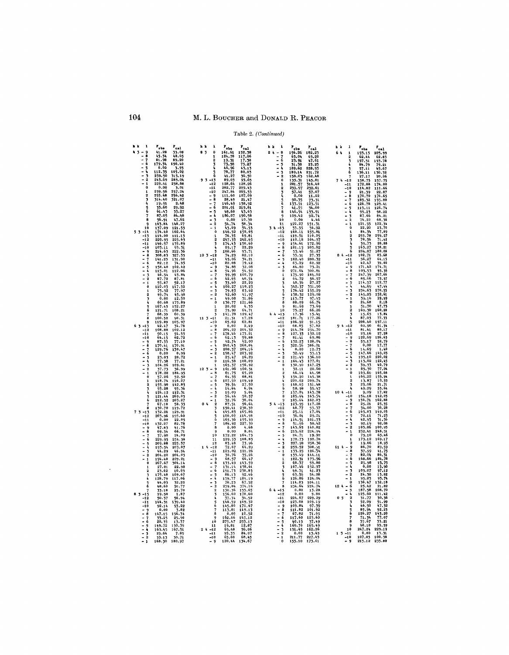## Table 2. (Continued)

| h k<br>1                                | $r_{cal}$                            | h k<br>ı                                                                                              | 1<br>h k                                                           | h k<br>-1                                                                            |
|-----------------------------------------|--------------------------------------|-------------------------------------------------------------------------------------------------------|--------------------------------------------------------------------|--------------------------------------------------------------------------------------|
| 4.3<br>$\overline{9}$<br>$\rightarrow$  | $P_{\text{obs}}$<br>41.28<br>33.08   | $\mathbf{r}_{\text{obj}}$<br>$\mathbf{r}_{\text{cal}}$<br>83<br>$\ddot{\text{o}}$<br>161.61<br>152.38 | $P_{\text{obj}}$<br>$r_{cal}$<br>$-8$<br>24<br>156.26<br>182.23    | $\mathbf{r}_{\text{obs}}$<br>$r_{\rm cal}$<br>64<br>$\mathbf{1}$<br>193.15<br>205.99 |
| à                                       | 45.54<br>48.65                       | 124.78<br>117.06<br>1                                                                                 | $\overline{a}$<br>$\frac{7}{6}$<br>63.04<br>63.20                  | $\overline{2}$<br>62.44<br>62.83                                                     |
| 7<br>6                                  | 81.98<br>89.20<br>179.54<br>190.40   | $\overline{\mathbf{2}}$<br>17.38<br>73.27<br>19.31<br>$\overline{\mathbf{3}}$<br>73.58                | ä,<br>23.91<br>47.61<br>5<br>21.25<br>31.58                        | 3<br>197.51<br>193.78<br>٠<br>79.21                                                  |
| $\blacksquare$<br>5                     | 0.00<br>3.93                         | 46.96<br>4<br>43.13                                                                                   | ī,<br>ä,<br>189.62<br>228.95                                       | 84.79<br>57.11<br>5<br>45.67                                                         |
| $\overline{a}$<br>$\blacksquare$        | 112.35<br>105.02                     | 78.77<br>80.03<br>5                                                                                   | 189.14<br>231.72<br>$\overline{\mathbf{3}}$                        | 136.11<br>6<br>130.32                                                                |
| 3<br>$\overline{a}$<br>$\boldsymbol{2}$ | 259.50<br>315.19<br>243.69<br>283.04 | 6<br>41.27<br>36.50<br>89.03<br>95.65<br>93<br>$-13$                                                  | 2<br>158.03<br>162.48<br>133.31<br>Ĝ<br>145.81                     | 27.17<br>20,06<br>$-12$<br>158.75<br>74<br>157.75                                    |
| 1                                       | 229.41<br>258.68                     | $-12$<br>128.64<br>128.26                                                                             | 281.57<br>1<br>316.40                                              | 172.08<br>174.00<br>$-11$                                                            |
| o<br>$\mathbf{1}$                       | 0.00<br>3.01<br>257.24<br>239.56     | $-11$<br>202,77<br>209.43<br>$-10$                                                                    | 2<br>239.97<br>232.61                                              | $-10$<br>114.82<br>111.66                                                            |
| 2                                       | 255.48<br>256.42                     | 247.84<br>265.53<br>111.60<br>- 9<br>107.09                                                           | 5<br>57.41<br>57.07<br>4<br>0.00<br>11.22                          | 21.39<br>9<br>22.67<br>۰<br>8<br>170.70<br>176.65                                    |
| т                                       | 321.07<br>514.40                     | 28.49<br>- 8<br>21.47                                                                                 | 56<br>90.35<br>73.31                                               | -<br>7<br>189.32<br>195.80                                                           |
| 5                                       | 19.91<br>2.48<br>33.60<br>29.92      | 146.49<br>201.01<br>$-7$<br>158.92<br>- 6<br>219.81                                                   | 133.51<br>123.51<br>7<br>41.55<br>34.00                            | - 6<br>126.78<br>129.41<br>÷<br>5<br>119.11<br>126.74                                |
| ć.                                      | 61.43<br>55.27                       | $-5$<br>48,60<br>43.63                                                                                | 146.94<br>133.91<br>а                                              | - 4<br>99.23<br>Q8.22                                                                |
| 7                                       | 87.05<br>84.48                       | 186.07<br>190.58                                                                                      | 109.42<br>٩<br>92.74                                               | $\blacksquare$<br>-3<br>87.66<br>84.21                                               |
| 8<br>$\mathbf{Q}$                       | 47.62<br>56.91<br>148.27<br>163.84   | 0,00<br>10.30<br>- 3<br>$-2$<br>54.74<br>58.34                                                        | 0.00<br>10<br>4.46<br>122.27<br>11<br>151.31                       | $-2$<br>74,22<br>68,36<br>122.54<br>121.55<br>$\mathbf{1}$                           |
| 10                                      | 137.09<br>121.53                     | $-1$<br>43.09<br>34.53                                                                                | 33.55<br>3 4 - 13<br>36.92                                         | $\bar{0}$<br>22.20<br>23.70                                                          |
| $53 - 14$                               | 162.64<br>174.40                     | 150.03<br>146.52<br>$\theta$                                                                          | 155.81<br>$-12$<br>168.11                                          | 84.34<br>77.89<br>1                                                                  |
| $-13$<br>$-12$                          | 114.00<br>111.13<br>220.95<br>225.63 | 76.35<br>69.81<br>1<br>247.33<br>242.65                                                               | 119.51<br>110.05<br>$-11$<br>110.18<br>104.97<br>$-10$             | 255.78<br>259.27<br>$\overline{2}$<br>78.56<br>71.42<br>3                            |
| $-11$                                   | 146.57<br>135.89                     | 3<br>174.43<br>150.60                                                                                 | - 9<br>154.61<br>172.96                                            | 28.88<br>39.73                                                                       |
| $-10$<br>-9                             | 103.11<br>93.31<br>214.63<br>222.36  | 25.17<br>22,29<br>100,66<br>93.71                                                                     | – 8<br>181.15<br>205.82<br>$-7$<br>53.46<br>51.27                  | 163.27<br>138.21<br>6<br>204.87<br>180.08                                            |
| $-8$                                    | 308.83<br>327.53                     | $103 - 12$<br>74.29<br>82,10                                                                          | - 6<br>33.51<br>27.35                                              | $54 - 12$<br>102.71<br>85,68                                                         |
| $\overline{\phantom{0}}$<br>7<br>$-6$   | 141.25<br>131.90                     | $-11$<br>45.06<br>34.21<br>$-10$<br>80.08<br>79.42                                                    | $-5$<br>182.40<br>200.32<br>$-4$                                   | $-11$<br>56.27<br>64.15<br>$-10$<br>42.47                                            |
| -5                                      | 82.12<br>74.95<br>158.40<br>162.42   | 34.88<br>12.08<br>- 9                                                                                 | 63.29<br>62.92<br>84.80<br>73.21<br>ъ                              | 39.00<br>$-9$<br>171.42<br>174.71                                                    |
| $-1$                                    | 112.06<br>115.01                     | - 8<br>54.96<br>54.52                                                                                 | 300.81<br>271.64<br>$\Omega$                                       | - 8<br>103.53<br>95.36                                                               |
| - 3<br>$-2$                             | 43.84<br>46.54<br>87.72<br>87.81     | 99.95<br>100.79<br>7<br>- 6<br>42.65<br>40.54                                                         | 184.62<br>175.90<br>1<br>64.72<br>56.97<br>$\overline{2}$          | 247.39<br>$\overline{\phantom{0}}$<br>267.66<br>7<br>÷,<br>6<br>85.66<br>75.97       |
| 1                                       | 55.87<br>52.17                       | 22.29<br>5<br>33.60                                                                                   | 27.27<br>40.36<br>3                                                | 5<br>114.57<br>112.77                                                                |
| $\mathbf 0$                             | 110.03<br>117.52                     | 100.27<br>- 4<br>110.23                                                                               | 331.90<br>342.37                                                   | 44.69<br>47.44<br>$\mathbf{4}$                                                       |
| 1<br>$\overline{2}$                     | 75.32<br>77.97<br>49.74<br>45.98     | 79.83<br>83.62<br>-3<br>$-2$<br>42.60<br>41.97                                                        | 176.42<br>155.29<br>6<br>138.32<br>129.08                          | $\frac{1}{2}$<br>234.63<br>270.55<br>145.25<br>152,61                                |
|                                         | 0.00<br>12.50                        | $-1$<br>49.08<br>31.86                                                                                | 113.77<br>97.15<br>7                                               | $-1$<br>39.16<br>29.99                                                               |
| 5                                       | 60.68<br>175.89<br>167.45<br>152.27  | $\bf{0}$<br>130.77<br>121,66<br>20.02<br>4.35<br>$\mathbf{1}$                                         | 66.74<br>R<br>88.09<br>$\mathbf{o}$<br>81.69                       | $\Omega$<br>24,68<br>2.18<br>51.70<br>47.75<br>4                                     |
| 6                                       | 121.71<br>108.21                     | 64.71<br>2<br>75.90                                                                                   | 73.69<br>66.26<br>10<br>75.27                                      | 160.20<br>$\overline{2}$<br>169.30                                                   |
| 7<br>я                                  | 68.39<br>60.39<br>100.52<br>90.31    | 141.78<br>٦<br>129.47<br>17.28                                                                        | $44 - 13$<br>15.41<br>17.36<br>177.26<br>$-12$<br>181.71           | 13.84<br>15.65<br>т<br>87.03<br>77.33                                                |
| 9                                       | 105.97<br>119.89                     | $11 \ 3 \ -11$<br>21.31<br>65.69<br>62,81<br>$-10$                                                    | 106.92<br>91.15<br>$-11$                                           | 206.40<br>197.11                                                                     |
| $63 - 13$                               | 12.47<br>34.78                       | 0,00<br>$\mathbf{q}$<br>2,49                                                                          | 68.05<br>57.82<br>$-10$                                            | $-12$<br>60.90<br>61.34                                                              |
| $-12$<br>$-11$                          | 108.88<br>102.12<br>50.15<br>54.53   | 204.22<br>8<br>204.32<br>178.46<br>173.21<br>7                                                        | - 9<br>214.78<br>234.70<br>- 8<br>127.33<br>132.12                 | 81,41<br>80,17<br>$-11$<br>$-10$<br>23.16<br>27.28                                   |
| $-10$                                   | 64.15<br>62.72                       | - 6<br>62.13<br>59.88                                                                                 | $-7$<br>81.41<br>69.86                                             | - 9<br>122.69<br>126.63                                                              |
| $-9$<br>$-8$                            | 87.33<br>77.10<br>170.41<br>170.91   | $-5$<br>42.54<br>42.00<br>$-4$<br>240.43<br>260.04                                                    | $-6$<br>132.23<br>128.04<br>122.56<br>$-5$<br>386.21               | $-8$<br>53.17<br>52.79<br>$-7$<br>0.00<br>17.77                                      |
| - 7                                     | 129.76<br>130.47                     | 200.57<br>$-3$<br>204,16                                                                              | - 4<br>0.00<br>12.73                                               | - 6<br>14.69<br>1.40                                                                 |
| - 6                                     | 0.99<br>0.00                         | - 2<br>198.47<br>203.92<br>$-1$<br>16.29                                                              | $\overline{a}$<br>32.49<br>्र<br>33.13<br>$-2$<br>121.49<br>136.10 | $\overline{a}$<br>149.03<br>5<br>147.66<br>$-4$<br>193.10<br>220.02                  |
| $-5$<br>4                               | 20.72<br>23.03<br>77.21<br>77.38     | 25.47<br>116.58<br>108.09<br>0                                                                        | 164.45<br>177.01<br>1                                              | $\overline{\phantom{0}}$<br>J,<br>113.02<br>122.45                                   |
| - 3                                     | 104.26<br>109.61                     | 165.37<br>156.92<br>$\mathbf{1}$                                                                      | $\bf{0}$<br>130.90<br>147.25                                       | $-2$<br>39.33<br>40.79                                                               |
| $\overline{2}$<br>1                     | 37.73<br>36.99<br>178.20<br>184.95   | 161.06<br>12 <sub>3</sub><br>9<br>160.31<br>$\qquad \qquad \blacksquare$<br>8<br>61.75<br>65.20       | 32.11<br>20,60<br>$\mathbf{1}$<br>46.14<br>44.98                   | 85.30<br>77.04<br>$\mathbf{1}$<br>0<br>163.61<br>165.68                              |
| o                                       | 57.26<br>52.50                       | 64.55<br>68.81<br>7                                                                                   | 154.20<br>145.38                                                   | 165.22<br>155.94                                                                     |
| $\overline{2}$                          | 118.74<br>116.27<br>155.90<br>142.83 | $\overline{a}$<br>6<br>107.50<br>109.49<br>$-5$<br>39.54<br>27.50                                     | 220.62<br>209.74<br>4<br>168.65<br>151.48<br>5                     | $\boldsymbol{2}$<br>13.87<br>10.55<br>3<br>23.06<br>21.71                            |
| 3                                       | 95.28<br>95.36                       | ä,<br>4<br>14.64<br>6.94                                                                              | 6<br>58.98<br>55.47<br>143.78                                      | 49.29<br>4<br>53.64                                                                  |
| ı.                                      | 124.12<br>112.31<br>269.03           | $\overline{a}$<br>15.09<br>56.44<br>5.04<br>-3<br>L.<br>2                                             | 157.24<br>185.64<br>R<br>165.54                                    | $10 h - 11$<br>17.82<br>9.09<br>154.18<br>142.03<br>$-10$                            |
| 5<br>6                                  | 121.44<br>203.27<br>212.32           | $\frac{50.57}{38.04}$<br>32.76<br>1                                                                   | 185.64<br>162.83                                                   | $\overline{\phantom{0}}$<br>9<br>156.71<br>162.88                                    |
| 7                                       | 58.33<br>67.10                       | 96.64<br>0 <sub>4</sub><br>87.51                                                                      | 123.95<br>54<br>$-17$<br>117.28                                    | 25.21<br>8<br>23.35                                                                  |
| 8<br>73<br>$-13$                        | 130.70<br>119.72<br>132.26<br>129.91 | $\overline{\mathbf{3}}$<br>190.41<br>238.30<br>145.83<br>165.86                                       | $-12$<br>48.77<br>53.37<br>$-11$<br>25.11<br>17.84                 | 34.00<br>30.28<br>۰<br>6<br>163.83<br>149.05                                         |
| $-12$                                   | 203.96<br>195.60                     | 100.00<br>114.98<br>5                                                                                 | 36.01<br>29.21<br>$-10$                                            | $\blacksquare$<br>-5<br>70.11<br>71.23                                               |
| $-11$<br>$-10$                          | 0.00<br>22.05<br>132.27<br>82.78     | 6<br>165.36<br>195.39<br>227.30<br>7<br>189.92                                                        | $-9$<br>114.51<br>101.53<br>- 8<br>51.66<br>50.42                  | $-4$<br>42.95<br>31.56<br>$-3$<br>92.19<br>92.08                                     |
| $-9$                                    | 47.83<br>41.76                       | 8<br>0.00<br>4.68                                                                                     | $-7$<br>143.65<br>215.62<br>140.82                                 | $-2$<br>100.95<br>103.86                                                             |
| - 8<br>$-7$                             | 69.34<br>66.71<br>24.09<br>37.90     | 0.00<br>8.84<br>9<br>172.22<br>164.73<br>10                                                           | 224.94<br>6<br>19.92<br>$-5$<br>24.71                              | 232.41<br>248.51<br>$\mathbf{1}$<br>$\Omega$<br>65.46<br>75.10                       |
| -6                                      | 229.95<br>254.38                     | 108.83<br>129.53<br>11                                                                                | 192.78<br>172.73                                                   | 173.12<br>169.17                                                                     |
| -5                                      | 209.88<br>225.57<br>203.07<br>193.54 | 83.48<br>73.96<br>12<br>72.67<br>64.29<br>$-12$<br>$1 - 4$                                            | 227.98<br>258.36<br>- 3<br>308.51<br>$\overline{2}$<br>259.52      | 19.66<br>18.93<br>86.70<br>$114 -$<br>89.59                                          |
| 3                                       | 44.29<br>46.94                       | $-11$<br>129.02<br>121.26                                                                             | 126.54<br>$\mathbf{1}$<br>133.25                                   | $\overline{\phantom{0}}$<br>8<br>37.99<br>41.75                                      |
| $\overline{\mathbf{2}}$                 | 204.20<br>204.03                     | 30.76<br>35.26<br>-10                                                                                 | 133.49<br>144.11<br>$\bf{0}$                                       | $\overline{a}$<br>82.04<br>86.31<br>7<br>$\overline{\phantom{a}}$<br>6               |
| $\bf{0}$                                | 194.40<br>209.21<br>267.67<br>304.14 | 68.57<br>66.47<br>- 9<br>- ខ<br>133.49<br>143.59                                                      | 182.31<br>173.96<br>2<br>68.37<br>59.88                            | 168.66<br>184.78<br>$\frac{1}{2}$<br>5<br>25.98<br>15.75                             |
| $\mathbf{1}$                            | 27.01<br>22.98                       | 7<br>131.14<br>138.61                                                                                 | 167.46<br>3<br>152.97                                              | $\overline{a}$<br>0.00<br>15.90                                                      |
| $\overline{2}$<br>3                     | 25.62<br>10.03<br>169.67<br>175.48   | - 6<br>238.83<br>191.73<br>92.46<br>86.13<br>-5                                                       | 41.23<br>4<br>49.31<br>54.08<br>63.56<br>5                         | 103.07<br>$-7$<br>97.12<br>$\overline{a}$<br>$\overline{2}$<br>24.30<br>15.82        |
| ٠                                       | 117.06<br>128.79                     | 159.77<br>184.19<br>ł,                                                                                | 126.86<br>124.04<br>6                                              | 95.85<br>93.74<br>1                                                                  |
| 5<br>6                                  | 32.20<br>44.03<br>48.60<br>50.77     | 70.23<br>67.52<br>3<br>2<br>259.04<br>374.16                                                          | 114.83<br>104.11<br>7<br>234.64<br>224.74                          | 136.47<br>132.18<br>25.42<br>12 <sub>1</sub><br>6<br>21.82                           |
| 7                                       | 25.70<br>33.18                       | 155.65<br>ò<br>130.36                                                                                 | 64<br>0.00<br>13.28<br>$-13$                                       | $\ddot{\phantom{0}}$<br>187.58<br>208.70<br>5                                        |
| $8, 3 - 13$                             | 1.87<br>19.50                        | 156.60<br>178.60<br>3                                                                                 | 0.00<br>9.88<br>$-12$                                              | ì,<br>125.60<br>111.42                                                               |
| $-12$<br>-11                            | 50.37<br>56.94<br>144.31<br>139.40   | 37.34<br>34.52<br>4<br>148.59<br>169.32                                                               | $-11$<br>224.67<br>229.29<br>$-10$<br>123.68<br>109.19             | 0 <sub>5</sub><br>$\mathbf{2}$<br>31.77<br>30.36<br>3<br>52.09<br>51.99              |
| $-10$                                   | 92.14<br>93.22                       | 56<br>145.80<br>171.67                                                                                | 109.84<br>$-9$<br>97.39<br>101.62                                  | 46.50<br>4<br>47.32                                                                  |
| - 9<br>- R                              | 0.00<br>3.82<br>156.34<br>147.15     | $\frac{7}{8}$<br>113.81<br>119.13<br>0.00<br>10.52                                                    | 111.82<br>$-8$<br>67.82<br>71.65<br>- 7                            | 92.23<br>85.94<br>5<br>é<br>126.27<br>143.20                                         |
| 7                                       | 25.90<br>33.25                       | 162.66<br>q<br>145.12                                                                                 | 117.60<br>123.60<br>$-6$                                           | 77.07<br>71.34<br>7                                                                  |
| - 6                                     | 20.35<br>13.37                       | 10<br>275.47<br>253.13                                                                                | $-5$<br>37.49<br>40.15                                             | 35.67<br>33.21<br>8                                                                  |
| 5<br>- 4                                | 149.72<br>150.39<br>163.45<br>167.51 | 19.81<br>12.87<br>11<br>63.40<br>24<br>$-12$<br>56.06                                                 | 169.39<br>165.49<br>162.26<br>151.45<br>3                          | 98.18<br>95.59<br>247.24<br>10<br>229.19                                             |
| з                                       | 7.85<br>25.64                        | 95.33<br>$-11$<br>84.07                                                                               | $\overline{\phantom{a}}$<br>0, 00<br>13.45<br>$\overline{2}$       | 0.00<br>1 <sub>5</sub><br>$-11$<br>13.31                                             |
|                                         | 30.71<br>53.13<br>168.30<br>180.97   | 65.60<br>68.45<br>$-10$<br>120.44<br>134.67<br>- 9                                                    | 211.77<br>227.45<br>$\mathbf{1}$<br>$\Omega$<br>155.10<br>175.01   | 107.05<br>100.38<br>$-10$<br>215.12<br>235.80<br>- 9                                 |
|                                         |                                      |                                                                                                       |                                                                    |                                                                                      |

104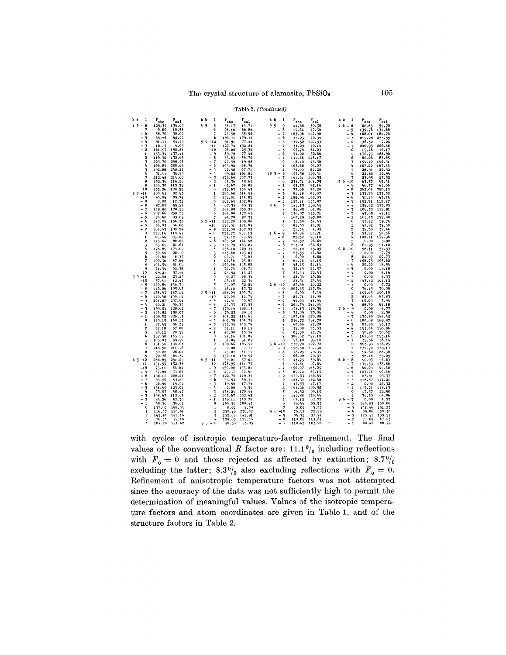### Table 2. (Continued)

| h k<br>1                                    | r <sub>obs</sub> | $r_{c1}$         | h k            | ı                | $F_{obs}$        | $F_{cal}$        | h k            |              | 1                            | $F_{obs}$            | $r_{\rm cal}$    | h k<br>1                                                                             | $F_{obs}$        | $r_{est}$        |
|---------------------------------------------|------------------|------------------|----------------|------------------|------------------|------------------|----------------|--------------|------------------------------|----------------------|------------------|--------------------------------------------------------------------------------------|------------------|------------------|
| 1 <sub>5</sub><br>8<br>$\blacksquare$       | 129.32           | 134.69           | 4 <sub>5</sub> | 5                | 34.17            | 14.71            | 95             | $-9$         |                              | 44,68                | 30.38            | $46 - 6$                                                                             | 62.65            | 51.70            |
| 7                                           | 0.00             | 10.58            |                | 6                | 96.16            | 86.26            |                | $\bullet$    | 8                            | 19.84                | 17.36            | 5<br>-                                                                               | 139.76           | 131.68           |
| 6<br>-<br>$\overline{\phantom{0}}$<br>5     | 38.70<br>45.56   | 30,00<br>42.00   |                | 7<br>8           | 45.50<br>194.71  | 35.52<br>179.32  |                | ۰<br>- 6     | $\overline{\phantom{a}}$     | 123.96<br>35.23      | 112.90<br>40.39  | Ā<br>$\overline{\phantom{a}}$<br>$\overline{\phantom{0}}$<br>$\overline{\mathbf{3}}$ | 168.01<br>219.20 | 181.70<br>253.55 |
| - 4                                         | 91.71            | 99.43            |                | $5.5 - 12$       | 91.91            | 77.44            |                | $-5$         |                              | 132.32               | 127.93           | $-2$                                                                                 | 36.32            | 7.24             |
| $-5$                                        | 16.17            | 9.65             |                | $-11$            | 127.74           | 132.24           |                | $-4$         |                              | 34.29                | 40.14            | - 1                                                                                  | 240.93           | 266.46           |
| $-2$                                        | 161.97           | 190.81           |                | $-10$            | 28.08            | 25.36            |                | - 3          |                              | 97.70                | 84.23            | 0                                                                                    | 19.46            | 16.17            |
| 1                                           | 133.34           | 137.44           |                | - 9              | 89.70            | 77.46            |                | $-2$         |                              | 54.22                | 52,66            | 1                                                                                    | 172.73           | 186.90           |
| $\overline{2}$                              | 110.32           | 132.65           |                | $-8$             | 53.83            | 56.72            |                | $-1$         | $\Omega$                     | 141,86               | 148.17           | $\overline{2}$                                                                       | 80,28            | 83.65            |
| 3<br>4                                      | 223.70<br>166.85 | 298.55<br>208.69 |                | $-7$<br>- 6      | 20.50<br>105.92  | 19.28<br>68.76   |                |              | $\blacksquare$               | 18.10<br>103.68      | 13.58<br>95.07   | 3<br>4                                                                               | 194.10<br>167.22 | 192.31<br>167.44 |
| 5                                           | 192.88           | 248.27           |                | - 5              | 76.58            | 67.71            |                |              | $\overline{2}$               | 75.00                | 81.20            | 5                                                                                    | 28.94            | 26.52            |
| 6                                           | 51.91            | 56.83            |                | $-4$             | 99.62            | 101.86           |                | $105 - 8$    |                              | 157.38               | 160.41           | 6                                                                                    | 22.80            | 16.94            |
| 7                                           | 212.48           | 214.60           |                | $-3$             | 176.69           | 207.73           |                | $-7$         |                              | 161.61               | 166.35           | 7                                                                                    | 23.95            | 23.52            |
| 8                                           | 132.36           | 116.26           |                | $-2$             | 44.36            | 45.69            |                | $-6$         |                              | 234.51               | 268.75           | $56 - 10$                                                                            | 63.37            | 65.41            |
| ۹<br>10                                     | 126.30<br>155.26 | 113.39<br>128.55 |                | $-1$<br>$\bf{0}$ | 65.67            | 58.09<br>150.43  |                | $-5$<br>- 4  |                              | 93.35<br>77.09       | 85.16<br>72.20   | - 9<br>- 8                                                                           | 46.37<br>262.08  | 41.66<br>290.10  |
| 2, 5<br>$-11$                               | 100.61           | 82.93            |                | 1                | 131.93<br>280.68 | 314.99           |                | - 3          |                              | 81.18                | 81.87            | $-7$                                                                                 | 133.75           | 133.52           |
| $-10$                                       | 95.04            | 89.74            |                | $\mathbf{a}$     | 151.01           | 144.82           |                | $-2$         |                              | 188.96               | 188.05           | - 6                                                                                  | 51.15            | 43.24            |
| - 9                                         | 0.00             | 12.31            |                | 3                | 161.65           | 152.09           |                | $-1$         |                              | 157.11               | 153.97           | $-5$                                                                                 | 102.71           | 112.27           |
| $\blacksquare$<br>8                         | 97.07            | 99.24            |                | 4                | 67.39            | 63.38            | 0 <sub>6</sub> |              | 3                            | 141.13               | 169.49           | $-4$                                                                                 | 158.42           | 173.05           |
| 7                                           | 149.80           | 170.52           |                | 5                | 264.85           | 255.20           |                |              | 4                            | 56.85                | 61.06            | $-5$                                                                                 | 106.52           | 112.91           |
| 6<br>$\overline{\phantom{0}}$<br>5          | 207.66           | 259.15           |                | 6<br>7           | 184.00           | 172.42           |                |              | 5<br>6                       | 176.07               | 215.71           | $-2$                                                                                 | 47.65            | 47.11            |
| 4<br>٠                                      | 76.90<br>143.09  | 83.69<br>154.38  |                | $65 - 11$        | 94.70<br>115.28  | 92.39<br>109.86  |                |              | $\overline{\phantom{a}}$     | 160,29<br>39.30      | 193.98<br>34.43  | $-1$<br>$\theta$                                                                     | 161.43<br>53.12  | 177.80<br>59.74  |
| ٠<br>3                                      | 36.03            | 34.68            |                | $-10$            | 126.31           | 124.09           |                |              | B                            | 89.35                | 78.01            | 1                                                                                    | 47.92            | 39.58            |
| $\overline{2}$                              | 184.63           | 189.24           |                | $-9$             | 151.39           | 152.93           |                |              | q                            | 21.34                | 4.89             | $\overline{2}$                                                                       | 39.30            | 32.44            |
| 0                                           | 119.14           | 118.47           |                | $-8$             | 211.72           | 235.19           |                | $16 - 9$     |                              | 60.96                | 51.71            | 3                                                                                    | 53.97            | 50.36            |
| 1                                           | 85.64            | 85.21            |                | $-7$             | 54.42            | 29.69            |                | - 8          |                              | 25.32                | 25.18            | 4                                                                                    | 182.11           | 179.36           |
| $\overline{2}$                              | 113.44           | 88.88<br>61.64   |                | $-6$<br>$-5$     | 163.50           | 164.98<br>163.84 |                | $-7$<br>$-6$ |                              | 28.37                | 26.62            | 5<br>6                                                                               | 0,00             | 3.92             |
| 3<br>4                                      | 65.65<br>178.89  | 174.02           |                | $-1$             | 158.79<br>238.18 | 269.35           |                | $-5$         |                              | 213.81<br>20.10      | 266.63<br>13.05  | $66 - 10$                                                                            | 61.95<br>58.11   | 51.10            |
| 5                                           | 32.46            | 26.10            |                | $-3$             | 113.60           | 123.63           |                | $-4$         |                              |                      | 16.62            | $-9$                                                                                 | 0.00             | 54.33<br>7.79    |
| 6                                           | 24.60            | 8.35             |                | $-2$             | 62.71            | 53.03            |                |              | 3                            | $\frac{23.53}{0.00}$ | 8.86             | $-8$                                                                                 | 24.07            | 20.73            |
| 7                                           | 100.36           | 87.66            |                | - 1              | 24.46            | 23.81            |                |              | h,                           | 61.76                | 64.15            | $-7$                                                                                 | 108.75           | 103.62           |
| Ĥ,<br>ų                                     | 104.59           | 91.09            |                | $\theta$         | 159.66           | 165.08           |                |              | 6                            | 48.45                | 51.14            | $-6$                                                                                 | 20,22            | 18.94            |
| 10                                          | 71.54<br>69.21   | 62.38<br>57.94   |                | $\mathbf 1$      | 72.74<br>23.92   | 68.71<br>14.27   |                |              | 7                            | 32.49<br>87.43       | 29.57<br>72.43   | - 5<br>$-4$                                                                          | 0.00<br>0.00     | 19.18<br>4.16    |
| $-11$<br>35                                 | 22.08            | 25.25            |                | 3                | 96.27            | 88.34            |                |              | я                            | 28.54                | 23.06            | - 3                                                                                  | 0.00             | 4.53             |
| $-10$                                       | 37.91            | 12.47            |                | ı,               | 25.18            | 22.39            |                |              | 9                            | 24.31                | 25.49            | $-2$                                                                                 | 143.82           | 161.12           |
| $-9$                                        | 140.89           | 146.79           |                | 5                | 59.07            | 52.24            |                | $26 - 10$    |                              | 27.66                | 26,22            | $-1$                                                                                 | 0.00             | 7.72             |
| $-8$                                        | 110.26           | 105.93           |                | 6                | 18.12            | 13.32            |                | $-9$         |                              | 205.85               | 217.56           | $\mathbf 0$                                                                          | 76.15            | 76.08            |
| 7                                           | 158.93           | 187.14           |                | $75 - 11$        | 186.09           | 193.71           |                | $-8$         |                              | 0,00                 | 3.49             | $\mathbf{1}$                                                                         | 195.65           | 190.10           |
| -<br>6<br>$\qquad \qquad \blacksquare$<br>5 | 140.48<br>201.87 | 150.14<br>237.94 |                | $-10$<br>$-9$    | 25.05<br>42.51   | 12.74<br>50.97   |                | $-7$<br>- 6  |                              | 25.71<br>45.03       | 24.00<br>44.94   | $\mathbf 2$<br>$\overline{\mathbf{3}}$                                               | 83.95<br>19.05   | 83.83<br>7.94    |
| $\blacksquare$<br>4                         | 40.21            | 36.35            |                | $-8$             | 25.35            | 17.55            |                | - 5          |                              | 201.79               | 241.84           | 4                                                                                    | 88.30            | 84.18            |
| ٠<br>3                                      | 130.04           | 128.62           |                | $-7$             | 179.16           | 188.13           |                | $-4$         |                              | 154.15               | 179.30           | $76 - 9$                                                                             | 0,00             | $-4.77$          |
| $-2$                                        | 144.82           | 150.07           |                | $-6$             | 79.23            | 80.10            |                | $-3$         |                              | 72.09                | 73.06            | $-8$                                                                                 | 0.00             | 2.30             |
| $-1$                                        | 199.02           | 226.13           |                | - 5              | 104.22           | 114.61           |                |              | $\overline{2}$               | 187.89               | 170.88           | $-7$                                                                                 | 170.80           | 184.42           |
| o                                           | 140.15           | 140.15           |                | $-1$             | 102.39           | 104.79           |                |              | $\overline{\mathbf{3}}$<br>4 | 296.72               | 294.70           | - 6<br>$-5$                                                                          | 180.68           | 189.87           |
| 1<br>$\mathbf{2}$                           | 27.45<br>37.18   | 34.31<br>37.00   |                | $-5$<br>$-2$     | 133.35<br>31.11  | 143.74<br>19.15  |                |              | 5                            | 60.36<br>35.08       | 47.20<br>23.33   | - 4                                                                                  | 87.85<br>193.64  | 95.17<br>198.96  |
| 3                                           | 26.12            | 20.55            |                | $-1$             | 46.80            | 45.54            |                |              | 6                            | 85.50                | 71.74            | - 3                                                                                  | 50.96            | 50.62            |
| 4                                           | 157.58           | 145.15           |                | $\Omega$         |                  | 94.14 101.84     |                |              | $\overline{7}$               | 306.62               | 297.18           | $-2$                                                                                 | 167.60           | 193.16           |
| 5                                           | 105.03           | 99.92            |                | $\mathbf{1}$     | 34.04            | 31.89            |                |              | 8                            | 96.10                | 95.16            | $-1$                                                                                 | 39.56            | 36.14            |
| 6                                           | 151.50           | 134.01           |                | 2                | 109.66           | 103.52           |                | $36 - 10$    |                              | 138.70               | 127.78           | $\theta$                                                                             | 223.93           | 236.25           |
| 7<br>8                                      | 218,90<br>30.22  | 211.76<br>26.01  |                | 3<br>4           | 0,00<br>45.07    | 7.77<br>41.19    |                | - 9<br>- 8   |                              | 158.38<br>78.25      | 157.30<br>79.34  | $\mathbf{r}$<br>$\overline{2}$                                                       | 131.70<br>94.60  | 139.17<br>88.30  |
| ų                                           | 70.76            | 64.32            |                | 5                | 156.10           | 140.96           |                | $-7$         |                              | 66.22                | 70.57            | 3                                                                                    | 58.48            | 55.05            |
| $45 - 12$                                   | 286.85           | 291.29           |                | $85 - 11$        | 59.01            | 57.01            |                | $-6$         |                              | 43.73                | 39.64            | $86 - 8$                                                                             | 90.03            | 94.63            |
| $-11$                                       | 151.55           | 152.38           |                | $-10$            | 178.95           | 181.75           |                | $-5$         |                              | 94.61                | 97.64            | $-7$                                                                                 | 131.39           | 133.86           |
| $-10$                                       | 75.11            | 64.64            |                | - 9              | 155.00           | 155.21           |                | $-4$         |                              | 152.07               | 163.25           | - 6                                                                                  | 46.29            | 49.62            |
| - 9<br>- 8                                  | 37.80<br>196.10  | 33.07<br>208.24  |                | $-8$<br>$-7$     | 45.37<br>122.70  | 42.91            |                | - 3<br>$-2$  |                              | 89.72<br>159.63      | 85.15<br>186.44  | - 5<br>$-4$                                                                          | 103.74<br>83.81  | 90.40<br>93.37   |
| $\overline{7}$<br>-                         | 54.56            | 53.85            |                | - 6              | 43.93            | 116,30<br>46.39  |                |              | $\mathbf 0$                  | 168.34               | 182.48           |                                                                                      | 118.87           | 111.21           |
| - 6                                         | 26, 46           | 19.52            |                | $-5$             | 19.90            | 17.74            |                |              | -1                           | 47.35                | 47.17            | $\begin{smallmatrix} - & 3 \\ - & 2 \end{smallmatrix}$                               | 0,00             | 24.32            |
| ÷.<br>5                                     | 131.90           | 125.02           |                | $-4$             | 0,00             | 5.59             |                |              | $\mathbf{2}$                 | 164.26               | 160.58           | $-1$                                                                                 | 117.71           | 118.13           |
| ÷.<br>Ą                                     | 53.07            | 48.47            |                | $-3$             | 158.24           | 170.44           |                |              | 3                            | 96.32                | 99.19            | $\mathbf 0$                                                                          | 17.37            | 22.90            |
| - 3<br>- 2                                  | 108.67<br>84.26  | 112.93<br>92.50  |                | $-.2$<br>$-1$    | 203.67           | 232.43<br>145.28 |                |              | 4<br>5                       | 141.88               | 130.44<br>62.72  | $\mathbf{1}$<br>$96 - 7$                                                             | 76.53<br>0.00    | 64.06<br>4.37    |
| $-1$                                        | 40.76            | 36.61            |                | $\theta$         | 139.11<br>100.56 | 100.47           |                |              | 6                            | 68.12<br>59.44       | 55.55            | - 6                                                                                  | 140.83           | 150.06           |
| 0                                           | 137.97           | 148.34           |                | $\blacksquare$   | 0.00             | 9.09             |                |              | 7                            | 0,00                 | 5.52             | - 5                                                                                  | 141.96           | 151.25           |
| $\mathbf{1}$                                | 116.37           | 120.61           |                | $\overline{2}$   | 250.46           | 236.52           |                | $46 - 10$    |                              | 76.97                | 72,29            | - 4                                                                                  | 59.06<br>125.51  | 58.38            |
| $\overline{2}$                              | 145.94           | 142.16           |                | 3                | 152.68           | 145.91           |                | - 9          |                              | 34.75                | 37.74            | $-5$                                                                                 |                  | 139.51           |
| 3                                           | 76.34<br>184.20  | 72.18            |                | ٠,<br>$95 - 10$  | 128.63           | 121.46           |                |              | $-8$<br>$-7$                 | 110.08               | 113.61<br>103.24 | $-2$<br>$-1$                                                                         | 77.64<br>88.42   | 67.03<br>86.79   |
|                                             |                  | 171.62           |                |                  | 58.50            | 53.83            |                |              |                              | 110.41               |                  |                                                                                      |                  |                  |

with cycles of isotropic temperature-factor refinement. The final values of the conventional R factor are:  $11.1\frac{0}{0}$  including reflections with  $F_0 = 0$  and those rejected as affected by extinction;  $8.7\frac{0}{0}$ excluding the latter; 8.3%, also excluding reflections with  $F_0 = 0$ . Refinement of anisotropic temperature factors was not attempted since the accuracy of the data was not sufficiently high to permit the determination of meaningful values. Values of the isotropic temperature factors and atom coordinates are given in Table 1, and of the structure factors in Table 2.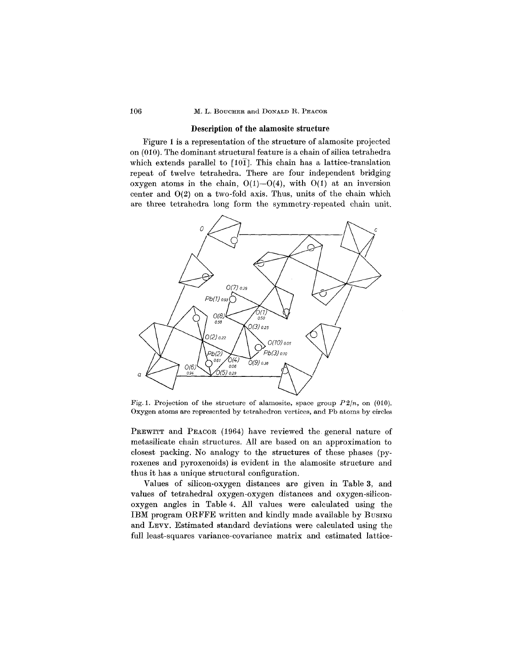## Description of the alamosite structure

Figure 1 is a representation of the structure of alamosite projected on (010). The dominant structural feature is a chain of silica tetrahedra which extends parallel to  $[10\bar{1}]$ . This chain has a lattice-translation repeat of twelve tetrahedra. There are four independent bridging oxygen atoms in the chain,  $O(1)$ - $O(4)$ , with  $O(1)$  at an inversion center and 0(2) on a two-fold axis. Thus, units of the chain which are three tetrahedra long form the symmetry-repeated chain unit.



Fig. 1. Projection of the structure of alamosite, space group *P2/n,* on (010). Oxygen atoms are represented by tetrahedron vertices, and Pb atoms by circles

PREWITT and PEACOR (1964) have reviewed the general nature of metasilicate chain structures. All are based on an approximation to closest packing. No analogy to the structures of these phases (pyroxenes and pyroxenoids) is evident in the alamosite structure and thus it has a unique structural configuration.

Values of silicon-oxygen distances are given in Table 3, and values of tetrahedral oxygen-oxygen distances and oxygen-siliconoxygen angles in Table 4. All values were calculated using the IBM program ORFFE written and kindly made available by BUSING and LEVY. Estimated standard deviations were calculated using the full least-squares variance-covariance matrix and estimated lattice-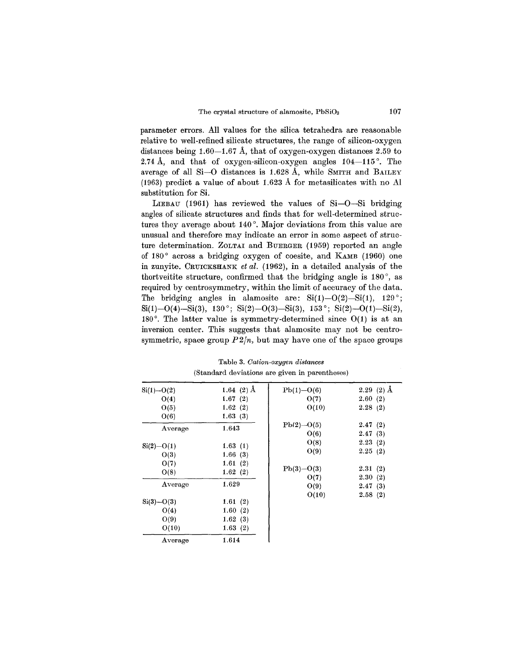parameter errors. All values for the silica tetrahedra are reasonable relative to well-refined silicate structures, the range of silicon-oxygen distances being  $1.60-1.67$  Å, that of oxygen-oxygen distances 2.59 to 2.74 Å, and that of oxygen-silicon-oxygen angles  $104-115^{\circ}$ . The average of all Si-O distances is 1.628 A, while SMITH and BAILEY (1963) predict a value of about 1.623 A for metasilicates with no Al substitution for Si.

LIEBAU (1961) has reviewed the values of  $Si-O-Si$  bridging angles of silicate structures and finds that for well-determined structures they average about 140°. Major deviations from this value are unusual and therefore may indicate an error in some aspect of structure determination. ZOLTAI and BUERGER (1959) reported an angle of 180° across a bridging oxygen of coesite, and KAMB (1960) one in zunyite. CRUICKSHANK*et al.* (1962), in a detailed analysis of the thortveitite structure, confirmed that the bridging angle is 180°, as required by centrosymmetry, within the limit of accuracy of the data. The bridging angles in alamosite are:  $Si(1)-O(2)-Si(1)$ , 129°;  $\text{Si}(1)$ -O(4)-Si(3), 130°; Si(2)-O(3)-Si(3), 153°; Si(2)-O(1)-Si(2), 180°. The latter value is symmetry-determined since 0(1) is at an inversion center. This suggests that alamosite may not be centrosymmetric, space group  $P2/n$ , but may have one of the space groups

| $Si(1) - O(2)$ | 1.64 $(2)$ Å | $Pb(1) - O(6)$ | $2.29(2)$ Å |
|----------------|--------------|----------------|-------------|
| O(4)           | 1.67 $(2)$   | O(7)           | 2.60(2)     |
| O(5)           | 1.62(2)      | O(10)          | 2.28(2)     |
| O(6)           | 1.63(3)      |                |             |
|                | 1.643        | $Pb(2) - O(5)$ | 2.47(2)     |
| Average        |              | O(6)           | 2.47(3)     |
| $Si(2) - O(1)$ | 1.63(1)      | O(8)           | 2.23(2)     |
|                |              | O(9)           | 2.25(2)     |
| O(3)           | 1.66(3)      |                |             |
| O(7)           | 1.61(2)      | $Pb(3) - O(3)$ | 2.31(2)     |
| O(8)           | 1.62(2)      |                |             |
|                | 1.629        | O(7)           | 2.30(2)     |
| Average        |              | O(9)           | 2.47(3)     |
|                |              | O(10)          | 2.58(2)     |
| $Si(3) - O(3)$ | 1.61 $(2)$   |                |             |
| O(4)           | 1.60(2)      |                |             |
| O(9)           | 1.62(3)      |                |             |
| O(10)          | 1.63(2)      |                |             |
| Average        | 1.614        |                |             |

Table 3. *Cation-oxygen distances* (Standard deviations are given in parentheses)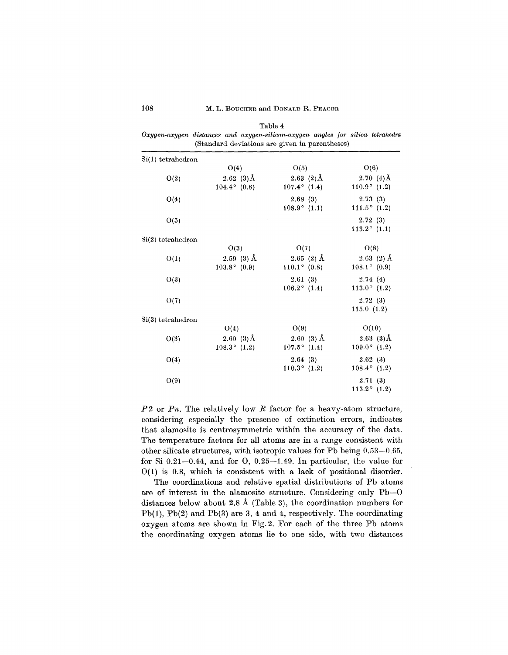| (Standard deviations are given in parentheses) |                       |                       |                       |  |  |  |  |  |
|------------------------------------------------|-----------------------|-----------------------|-----------------------|--|--|--|--|--|
| $Si(1)$ tetrahedron                            |                       |                       |                       |  |  |  |  |  |
|                                                | O(4)                  | O(5)                  | O(6)                  |  |  |  |  |  |
| O(2)                                           | $2.62(3)$ Å           | $2.63(2)$ Å           | 2.70 $(4)$ Å          |  |  |  |  |  |
|                                                | $104.4^{\circ}$ (0.8) | $107.4^{\circ}$ (1.4) | $110.9^{\circ}$ (1.2) |  |  |  |  |  |
| O(4)                                           |                       | 2.68(3)               | 2.73(3)               |  |  |  |  |  |
|                                                |                       | $108.9^{\circ}$ (1.1) | $111.5^{\circ}$ (1.2) |  |  |  |  |  |
| O(5)                                           |                       |                       | 2.72(3)               |  |  |  |  |  |
|                                                |                       |                       | $113.2^{\circ}$ (1.1) |  |  |  |  |  |
| $Si(2)$ tetrahedron                            |                       |                       |                       |  |  |  |  |  |
|                                                | O(3)                  | O(7)                  | O(8)                  |  |  |  |  |  |
| O(1)                                           | $2.59(3)$ Å           | $2.65(2)$ Å           | $2.63(2)$ Å           |  |  |  |  |  |
|                                                | $103.8^{\circ}$ (0.9) | $110.1^{\circ}$ (0.8) | $108.1^{\circ}$ (0.9) |  |  |  |  |  |
| O(3)                                           |                       | 2.61(3)               | 2.74(4)               |  |  |  |  |  |
|                                                |                       | $106.2^{\circ}$ (1.4) | $113.0^{\circ}$ (1.2) |  |  |  |  |  |
| O(7)                                           |                       |                       | 2.72(3)               |  |  |  |  |  |
|                                                |                       |                       | 115.0(1.2)            |  |  |  |  |  |
| $Si(3)$ tetrahedron                            |                       |                       |                       |  |  |  |  |  |
|                                                | O(4)                  | O(9)                  | O(10)                 |  |  |  |  |  |
| O(3)                                           | 2.60 $(3)$ Å          | $2.60(3)$ Å           | $2.63(3)\AA$          |  |  |  |  |  |
|                                                | $108.3^{\circ}$ (1.2) | $107.5^{\circ}$ (1.4) | $109.0^{\circ}$ (1.2) |  |  |  |  |  |
| O(4)                                           |                       | 2.64(3)               | 2.62(3)               |  |  |  |  |  |
|                                                |                       | $110.3^{\circ}$ (1.2) | $108.4^{\circ}$ (1.2) |  |  |  |  |  |
| O(9)                                           |                       |                       | 2.71(3)               |  |  |  |  |  |
|                                                |                       |                       | $113.2^{\circ}$ (1.2) |  |  |  |  |  |

Table 4 *Oxygen-oxygen distances and oxygen-silicon-oxygen angles for silica tetrahedra*

*P* 2 or *Pn.* The relatively low *R* factor for a heavy-atom structure, considering especially the presence of extinction errors, indicates that alamosite is centrosymmetric within the accuracy of the data. The temperature factors for all atoms are in a range consistent with other silicate structures, with isotropic values for Pb being 0.53-0.65, for Si  $0.21-0.44$ , and for O,  $0.25-1.49$ . In particular, the value for 0(1) is 0.8, which is consistent with a lack of positional disorder.

The coordinations and relative spatial distributions of Pb atoms are of interest in the alamosite structure. Considering only Pb-O distances below about 2.8 A (Table 3), the coordination numbers for Pb(1), Pb(2) and Pb(3) are 3, 4 and 4, respectively. The coordinating oxygen atoms are shown in Fig.2. For each of the three Pb atoms the coordinating oxygen atoms lie to one side, with two distances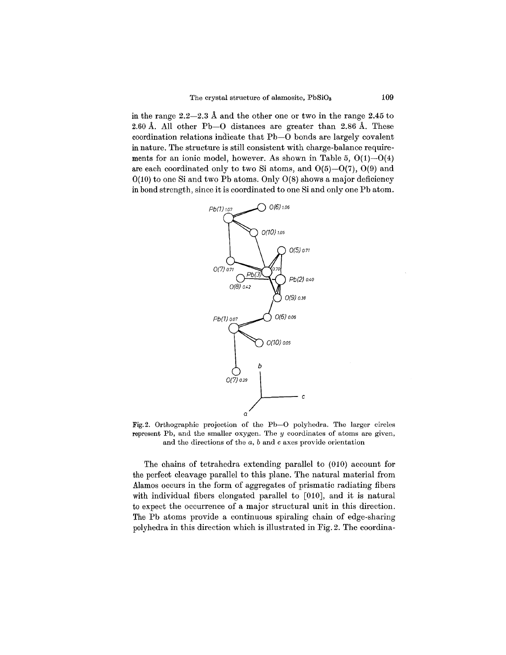in the range 2.2-2.3 A and the other one or two in the range 2.45 to 2.60 A. All other Pb-O distances are greater than 2.86 A. These coordination relations indicate that Pb-O bonds are largely covalent in nature. The structure is still consistent with charge-balance requirements for an ionic model, however. As shown in Table 5,  $O(1)$ – $O(4)$ are each coordinated only to two Si atoms, and  $O(5)$ - $O(7)$ ,  $O(9)$  and  $0(10)$  to one Si and two Pb atoms. Only  $0(8)$  shows a major deficiency in bond strength, since it is coordinated to one Si and only one Pb atom.



Fig. 2. Orthographic projection of the Pb-O polyhedra. The larger circles represent Pb, and the smaller oxygen. The *y* coordinates of atoms are given, and the directions of the *a,* band c axes provide orientation

The chains of tetrahedra extending parallel to (010) account for the perfect cleavage parallel to this plane. The natural material from Alamos occurs in the form of aggregates of prismatic radiating fibers with individual fibers elongated parallel to [010], and it is natural to expect the occurrence of a major structural unit in this direction. The Pb atoms provide a continuous spiraling chain of edge-sharing polyhedra in this direction which is illustrated in Fig. 2. The coordina-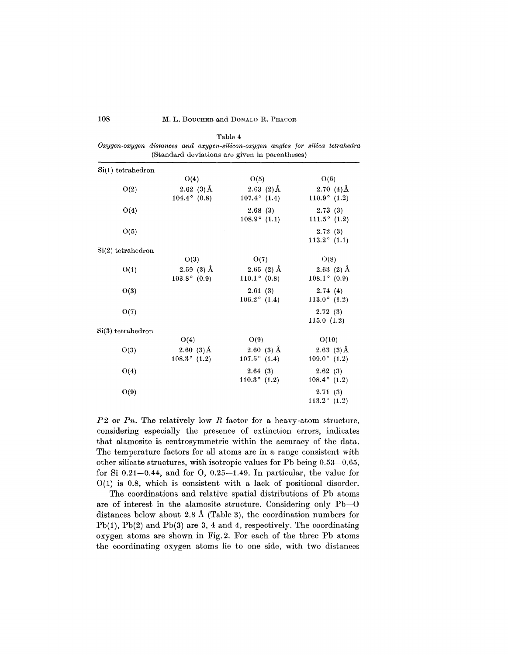|                         |                                              | Oxygen-oxygen distances and oxygen-silicon-oxygen angles for silica tetrahedra<br>(Standard deviations are given in parentheses) |                                       |
|-------------------------|----------------------------------------------|----------------------------------------------------------------------------------------------------------------------------------|---------------------------------------|
| $Si(1)$ tetrahedron     |                                              |                                                                                                                                  |                                       |
|                         | O(4)                                         | O(5)                                                                                                                             | O(6)                                  |
| O(2)                    | 2.62 $(3)$ Å<br>$104.4^{\circ}$ (0.8)        | 2.63 $(2)$ Å<br>$107.4^{\circ}$ (1.4)                                                                                            | 2.70 $(4)$ Å<br>$110.9^{\circ}$ (1.2) |
| O(4)                    |                                              | 2.68(3)<br>$108.9^{\circ}$ (1.1)                                                                                                 | 2.73(3)<br>111.5 $^{\circ}$ (1.2)     |
| O(5)                    |                                              |                                                                                                                                  | 2.72(3)<br>$113.2^{\circ}$ (1.1)      |
| $Si(2)$ tetrahedron     |                                              |                                                                                                                                  |                                       |
|                         | O(3)                                         | O(7)                                                                                                                             | O(8)                                  |
| O(1)                    | $2.59(3)$ Å<br>$103.8^{\circ}$ (0.9)         | $2.65(2)$ Å<br>$110.1^{\circ}$ (0.8)                                                                                             | $2.63(2)$ Å<br>$108.1^{\circ}$ (0.9)  |
| O(3)                    |                                              | 2.61(3)<br>$106.2^{\circ}$ (1.4)                                                                                                 | 2.74(4)<br>$113.0^{\circ}$ (1.2)      |
| O(7)                    |                                              |                                                                                                                                  | 2.72(3)<br>115.0(1.2)                 |
| $\rm Si(3)$ tetrahedron |                                              |                                                                                                                                  |                                       |
|                         | O(4)                                         | O(9)                                                                                                                             | O(10)                                 |
| O(3)                    | $2.60(3)\text{\AA}$<br>$108.3^{\circ}$ (1.2) | $2.60(3)$ Å<br>$107.5^{\circ}$ (1.4)                                                                                             | $2.63(3)$ Å<br>$109.0^{\circ}$ (1.2)  |
| O(4)                    |                                              | 2.64(3)<br>$110.3^{\circ}$ (1.2)                                                                                                 | 2.62(3)<br>$108.4^{\circ}$ (1.2)      |
| O(9)                    |                                              |                                                                                                                                  | 2.71(3)<br>$113.2^{\circ}$ (1.2)      |

Table 4  $\mathbf{a}$ 

*P* 2 or *Pn.* The relatively low *R* factor for a heavy-atom structure, considering especially the presence of extinction errors, indicates that alamosite is centrosymmetric within the accuracy of the data. The temperature factors for all atoms are in a range consistent with other silicate structures, with isotropic values for Pb being 0.53-0.65, for Si  $0.21-0.44$ , and for O,  $0.25-1.49$ . In particular, the value for  $O(1)$  is 0.8, which is consistent with a lack of positional disorder.

The coordinations and relative spatial distributions of Pb atoms are of interest in the alamosite structure. Considering only Pb-O distances below about 2.8 A (Table 3), the coordination numbers for Pb(l), Pb(2) and Pb(3) are 3, 4 and 4, respectively. The coordinating oxygen atoms are shown in Fig. 2. For each of the three Pb atoms the coordinating oxygen atoms lie to one side, with two distances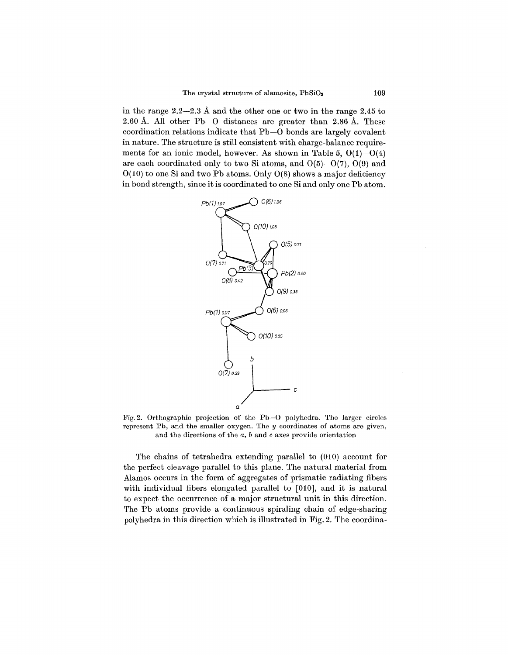in the range 2.2-2.3 A and the other one or two in the range 2.45 to 2.60 A. All other Pb-O distances are greater than 2.86 A. These coordination relations indicate that Pb-O bonds are largely covalent in nature. The structure is still consistent with charge-balance requirements for an ionic model, however. As shown in Table 5,  $O(1)$ - $O(4)$ are each coordinated only to two Si atoms, and  $O(5)-O(7)$ ,  $O(9)$  and  $O(10)$  to one Si and two Pb atoms. Only  $O(8)$  shows a major deficiency in bond strength, since it is coordinated to one Si and only one Pb atom.



Fig. 2. Orthographic projection of the Pb-O polyhedra. The larger circles represent Pb, and the smaller oxygen. The  $y$  coordinates of atoms are given, and the directions of the  $a, b$  and  $c$  axes provide orientation

The chains of tetrahedra extending parallel to (010) account for the perfect cleavage parallel to this plane. The natural material from Alamos occurs in the form of aggregates of prismatic radiating fibers with individual fibers elongated parallel to [010], and it is natural to expect the occurrence of a major structural unit in this direction. The Pb atoms provide a continuous spiraling chain of edge-sharing polyhedra in this direction which is illustrated in Fig. 2. The coordina-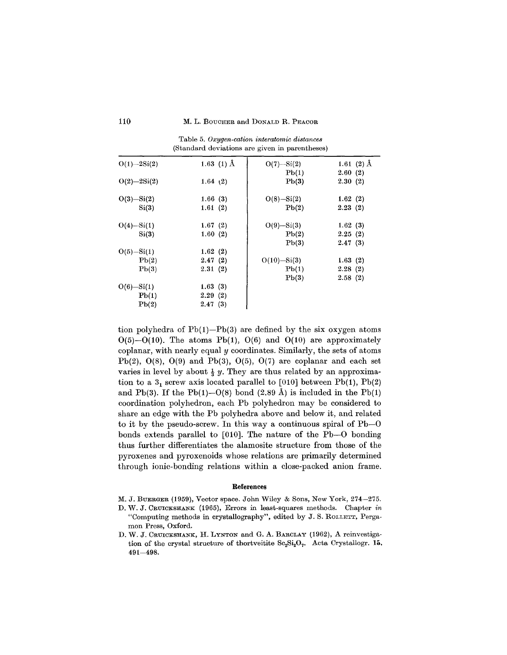| $O(1) - 2Si(2)$ | 1.63 (1) $\AA$ | $O(7) - Si(2)$  | 1.61 $(2)$ Å |  |  |  |  |  |  |
|-----------------|----------------|-----------------|--------------|--|--|--|--|--|--|
|                 |                | Pb(1)           | 2.60(2)      |  |  |  |  |  |  |
| $O(2) - 2Si(2)$ | 1.64(2)        | Pb(3)           | 2.30(2)      |  |  |  |  |  |  |
| $O(3) - Si(2)$  | 1.66(3)        | $O(8) - Si(2)$  | 1.62(2)      |  |  |  |  |  |  |
| Si(3)           | 1.61(2)        | Pb(2)           | 2.23(2)      |  |  |  |  |  |  |
| $O(4) - Si(1)$  | 1.67(2)        | $O(9) - Si(3)$  | 1.62(3)      |  |  |  |  |  |  |
| Si(3)           | 1.60(2)        | Pb(2)           | 2.25(2)      |  |  |  |  |  |  |
|                 |                | Pb(3)           | 2.47(3)      |  |  |  |  |  |  |
| $O(5) - Si(1)$  | 1.62(2)        |                 |              |  |  |  |  |  |  |
| Pb(2)           | 2.47(2)        | $O(10) - Si(3)$ | 1.63(2)      |  |  |  |  |  |  |
| Pb(3)           | 2.31(2)        | Pb(1)           | 2.28(2)      |  |  |  |  |  |  |
|                 |                | Pb(3)           | 2.58(2)      |  |  |  |  |  |  |
| $O(6) - Si(1)$  | 1.63(3)        |                 |              |  |  |  |  |  |  |
| Pb(1)           | 2.29(2)        |                 |              |  |  |  |  |  |  |
| Pb(2)           | 2.47(3)        |                 |              |  |  |  |  |  |  |

Table 5. *Oxygen-cation interatomic distances* (Standard deviations are given in parentheses)

tion polyhedra of  $Pb(1)$ - $Pb(3)$  are defined by the six oxygen atoms  $O(5)$ - $O(10)$ . The atoms Pb(1),  $O(6)$  and  $O(10)$  are approximately coplanar, with nearly equal *y* coordinates. Similarly, the sets of atoms Pb(2),  $O(8)$ ,  $O(9)$  and Pb(3),  $O(5)$ ,  $O(7)$  are coplanar and each set varies in level by about  $\frac{1}{3}$  y. They are thus related by an approximation to a  $3<sub>1</sub>$  screw axis located parallel to [010] between Pb(1), Pb(2) and Pb(3). If the Pb(1)–0(8) bond  $(2.89 \text{ Å})$  is included in the Pb(1) coordination polyhedron, each Pb polyhedron may be considered to share an edge with the Pb polyhedra above and below it, and related to it by the pseudo-screw. In this way a continuous spiral of Pb-O bonds extends parallel to [010]. The nature of the Pb-O bonding thus further differentiates the alamosite structure from those of the pyroxenes and pyroxenoids whose relations are primarily determined through ionic-bonding relations within a close-packed anion frame.

### References

- M. J. BUERGER (1959), Vector space. John Wiley & Sons, New York, 274-275.
- D. W. J. CRUICKSHANK(1965), Errors in least-squares methods. Chapter *in* "Computing methods in crystallography", edited by J. S. ROLLETT, Pergamon Press, Oxford.
- D. W. J. CRUICKSHANK, H. LYNTON and G. A. BARCLAY (1962), A reinvestigation of the crystal structure of thortveitite  $Sc_2Si_2O_7$ . Acta Crystallogr. 15. 491-498.